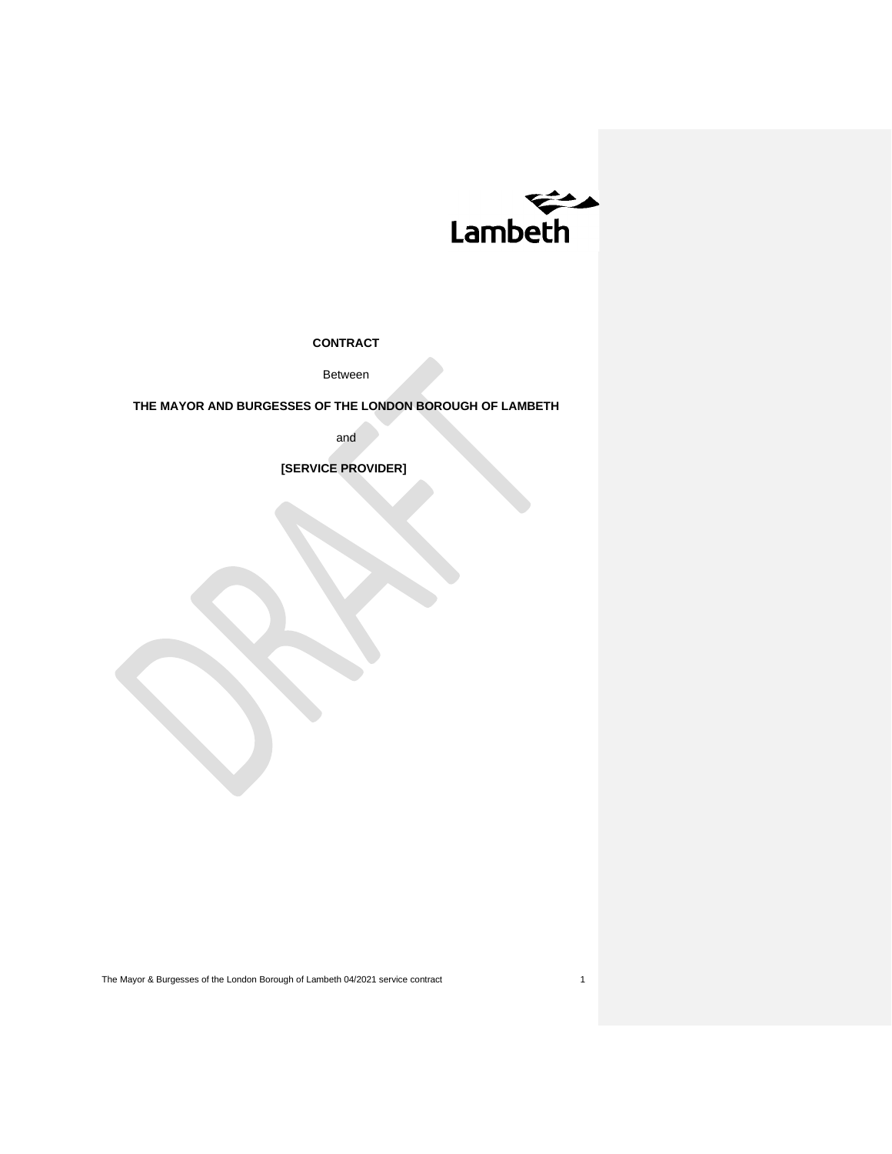

**CONTRACT**

Between

**THE MAYOR AND BURGESSES OF THE LONDON BOROUGH OF LAMBETH**

and

 **[SERVICE PROVIDER]**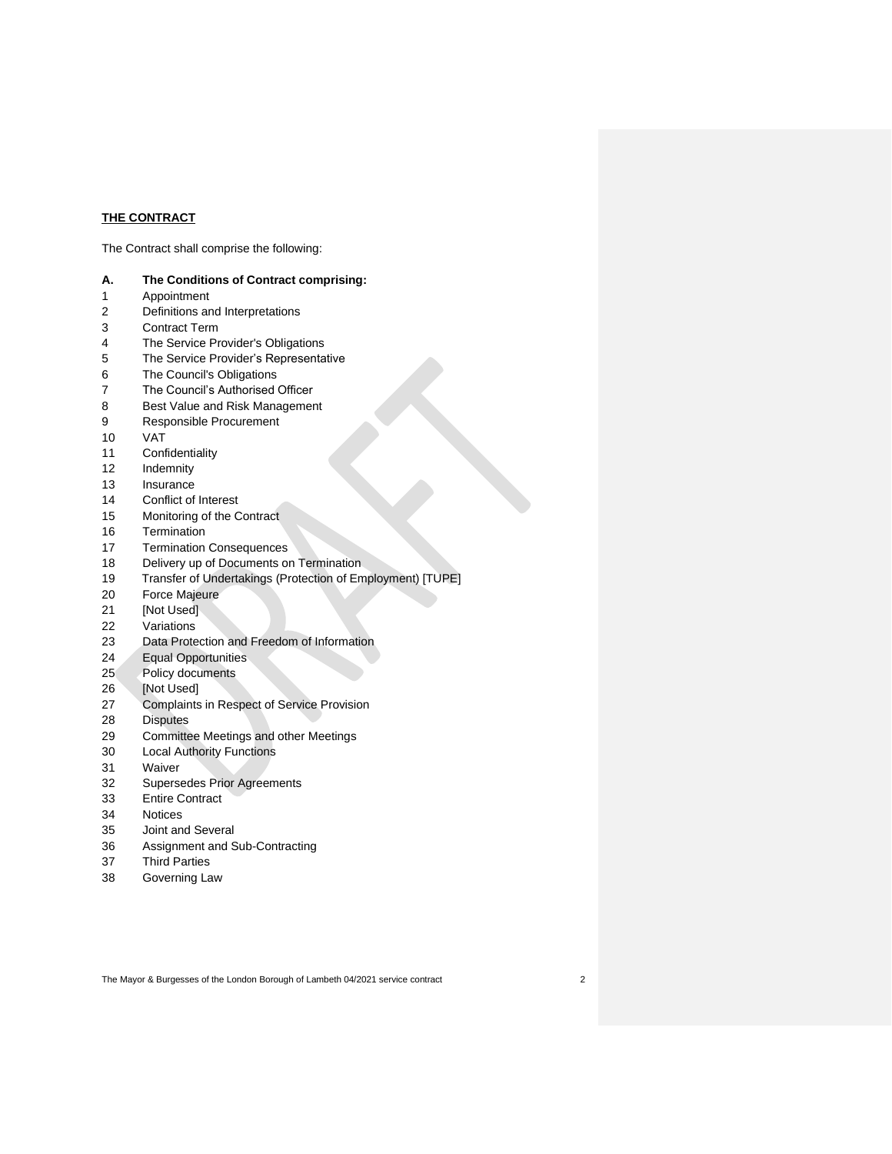# **THE CONTRACT**

The Contract shall comprise the following:

| The Conditions of Contract comprising:<br>А. |  |
|----------------------------------------------|--|
|----------------------------------------------|--|

- Appointment
- Definitions and Interpretations
- Contract Term
- The Service Provider's Obligations
- The Service Provider's Representative
- The Council's Obligations
- The Council's Authorised Officer
- Best Value and Risk Management
- Responsible Procurement
- VAT
- Confidentiality
- Indemnity
- Insurance
- Conflict of Interest
- Monitoring of the Contract
- Termination
- Termination Consequences
- 18 Delivery up of Documents on Termination
- Transfer of Undertakings (Protection of Employment) [TUPE]
- Force Majeure
- [Not Used]
- Variations
- Data Protection and Freedom of Information
- Equal Opportunities
- Policy documents
- [Not Used]
- Complaints in Respect of Service Provision
- Disputes
- Committee Meetings and other Meetings
- Local Authority Functions
- Waiver
- Supersedes Prior Agreements
- Entire Contract
- Notices
- Joint and Several
- Assignment and Sub-Contracting
- Third Parties
- Governing Law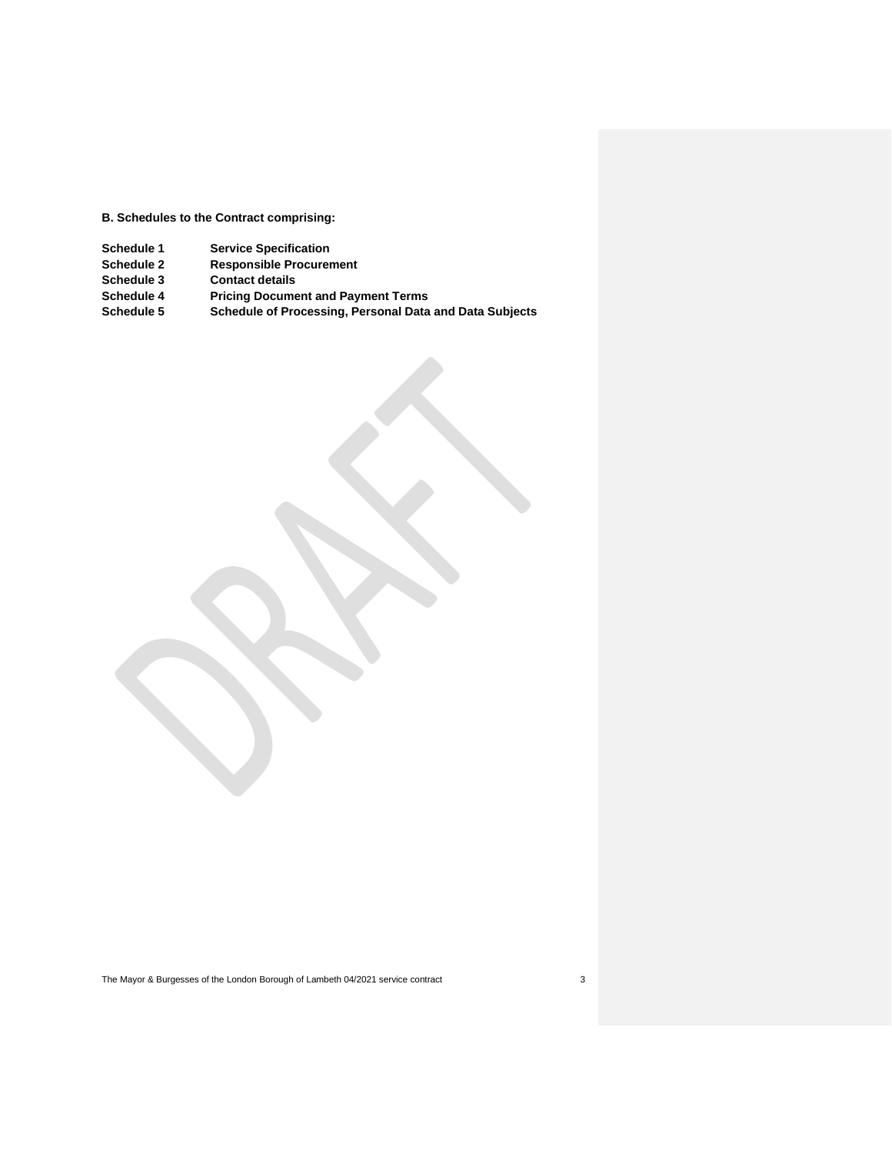**B. Schedules to the Contract comprising:** 

- 
- **Schedule 1 1 Service Specification**<br>**Schedule 2 Responsible Procurer Schedule 2 Responsible Procurement**
- **Contact details**
- **Schedule 4 Pricing Document and Payment Terms**
- **Schedule 5 Schedule of Processing, Personal Data and Data Subjects**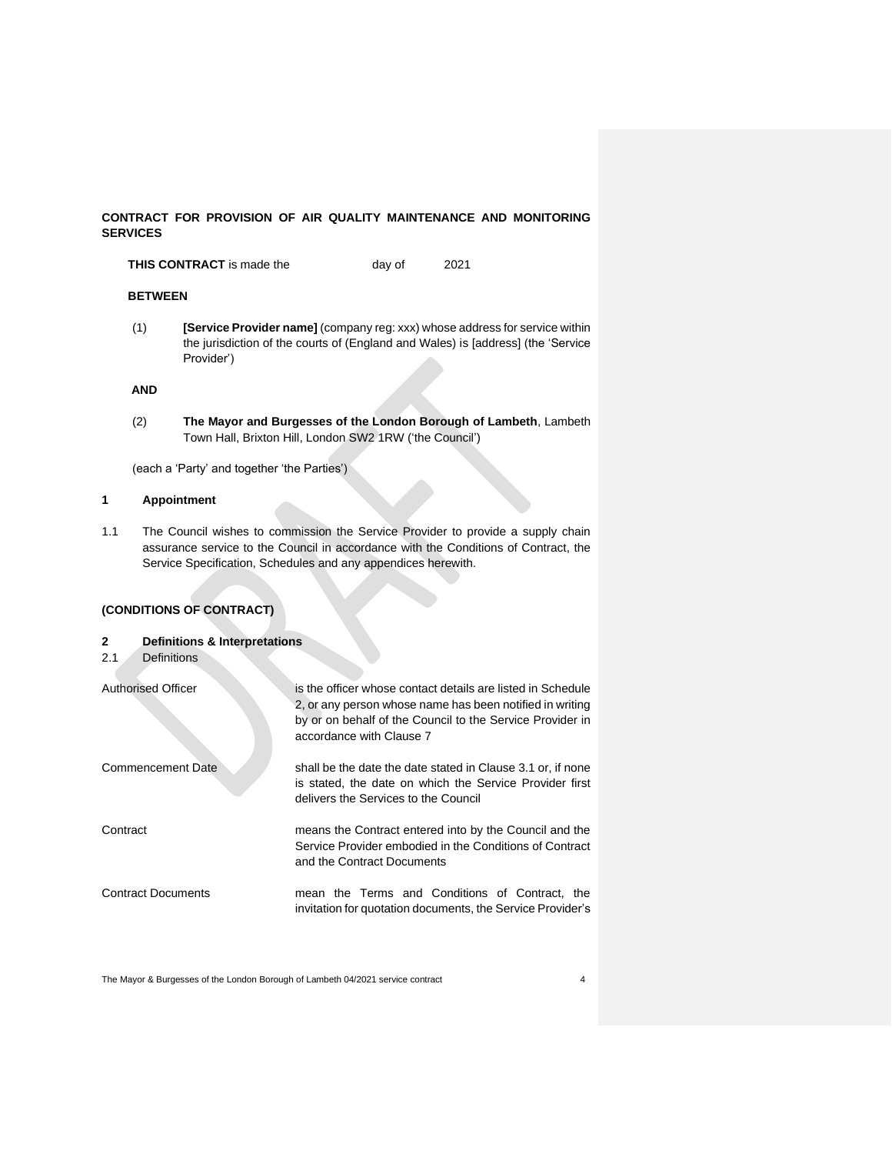# **CONTRACT FOR PROVISION OF AIR QUALITY MAINTENANCE AND MONITORING SERVICES**

**THIS CONTRACT** is made the day of 2021

## **BETWEEN**

(1) **[Service Provider name]** (company reg: xxx) whose address for service within the jurisdiction of the courts of (England and Wales) is [address] (the 'Service Provider')

# **AND**

(2) **The Mayor and Burgesses of the London Borough of Lambeth**, Lambeth Town Hall, Brixton Hill, London SW2 1RW ('the Council')

(each a 'Party' and together 'the Parties')

## **1 Appointment**

1.1 The Council wishes to commission the Service Provider to provide a supply chain assurance service to the Council in accordance with the Conditions of Contract, the Service Specification, Schedules and any appendices herewith.

# **(CONDITIONS OF CONTRACT)**

## **2 Definitions & Interpretations**

2.1 Definitions

| <b>Authorised Officer</b> | is the officer whose contact details are listed in Schedule<br>2, or any person whose name has been notified in writing<br>by or on behalf of the Council to the Service Provider in<br>accordance with Clause 7 |
|---------------------------|------------------------------------------------------------------------------------------------------------------------------------------------------------------------------------------------------------------|
| <b>Commencement Date</b>  | shall be the date the date stated in Clause 3.1 or, if none<br>is stated, the date on which the Service Provider first<br>delivers the Services to the Council                                                   |
| Contract                  | means the Contract entered into by the Council and the<br>Service Provider embodied in the Conditions of Contract<br>and the Contract Documents                                                                  |
| <b>Contract Documents</b> | mean the Terms and Conditions of Contract, the<br>invitation for quotation documents, the Service Provider's                                                                                                     |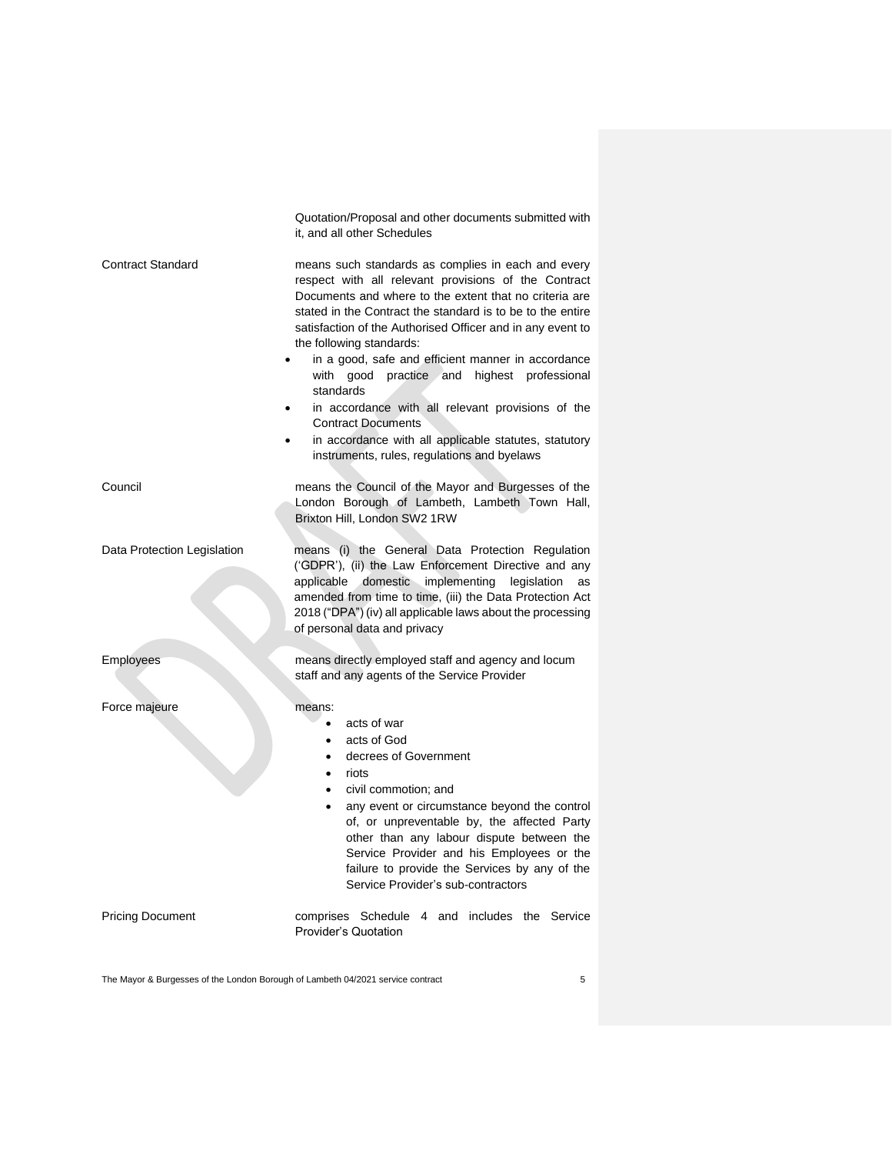|                             | Quotation/Proposal and other documents submitted with<br>it, and all other Schedules                                                                                                                                                                                                                                                                                                                                                                                                                                                                                                                                                                       |
|-----------------------------|------------------------------------------------------------------------------------------------------------------------------------------------------------------------------------------------------------------------------------------------------------------------------------------------------------------------------------------------------------------------------------------------------------------------------------------------------------------------------------------------------------------------------------------------------------------------------------------------------------------------------------------------------------|
| <b>Contract Standard</b>    | means such standards as complies in each and every<br>respect with all relevant provisions of the Contract<br>Documents and where to the extent that no criteria are<br>stated in the Contract the standard is to be to the entire<br>satisfaction of the Authorised Officer and in any event to<br>the following standards:<br>in a good, safe and efficient manner in accordance<br>$\bullet$<br>with good practice and highest professional<br>standards<br>in accordance with all relevant provisions of the<br>٠<br><b>Contract Documents</b><br>in accordance with all applicable statutes, statutory<br>instruments, rules, regulations and byelaws |
| Council                     | means the Council of the Mayor and Burgesses of the<br>London Borough of Lambeth, Lambeth Town Hall,<br>Brixton Hill, London SW2 1RW                                                                                                                                                                                                                                                                                                                                                                                                                                                                                                                       |
| Data Protection Legislation | means (i) the General Data Protection Regulation<br>('GDPR'), (ii) the Law Enforcement Directive and any<br>domestic implementing<br>applicable<br>legislation<br>as<br>amended from time to time, (iii) the Data Protection Act<br>2018 ("DPA") (iv) all applicable laws about the processing<br>of personal data and privacy                                                                                                                                                                                                                                                                                                                             |
| Employees                   | means directly employed staff and agency and locum<br>staff and any agents of the Service Provider                                                                                                                                                                                                                                                                                                                                                                                                                                                                                                                                                         |
| Force majeure               | means:<br>acts of war<br>$\bullet$<br>acts of God<br>$\bullet$<br>decrees of Government<br>$\bullet$<br>riots<br>$\bullet$<br>civil commotion; and<br>$\bullet$<br>any event or circumstance beyond the control<br>$\bullet$<br>of, or unpreventable by, the affected Party<br>other than any labour dispute between the<br>Service Provider and his Employees or the<br>failure to provide the Services by any of the<br>Service Provider's sub-contractors                                                                                                                                                                                               |
| <b>Pricing Document</b>     | comprises Schedule 4 and includes the Service<br><b>Provider's Quotation</b>                                                                                                                                                                                                                                                                                                                                                                                                                                                                                                                                                                               |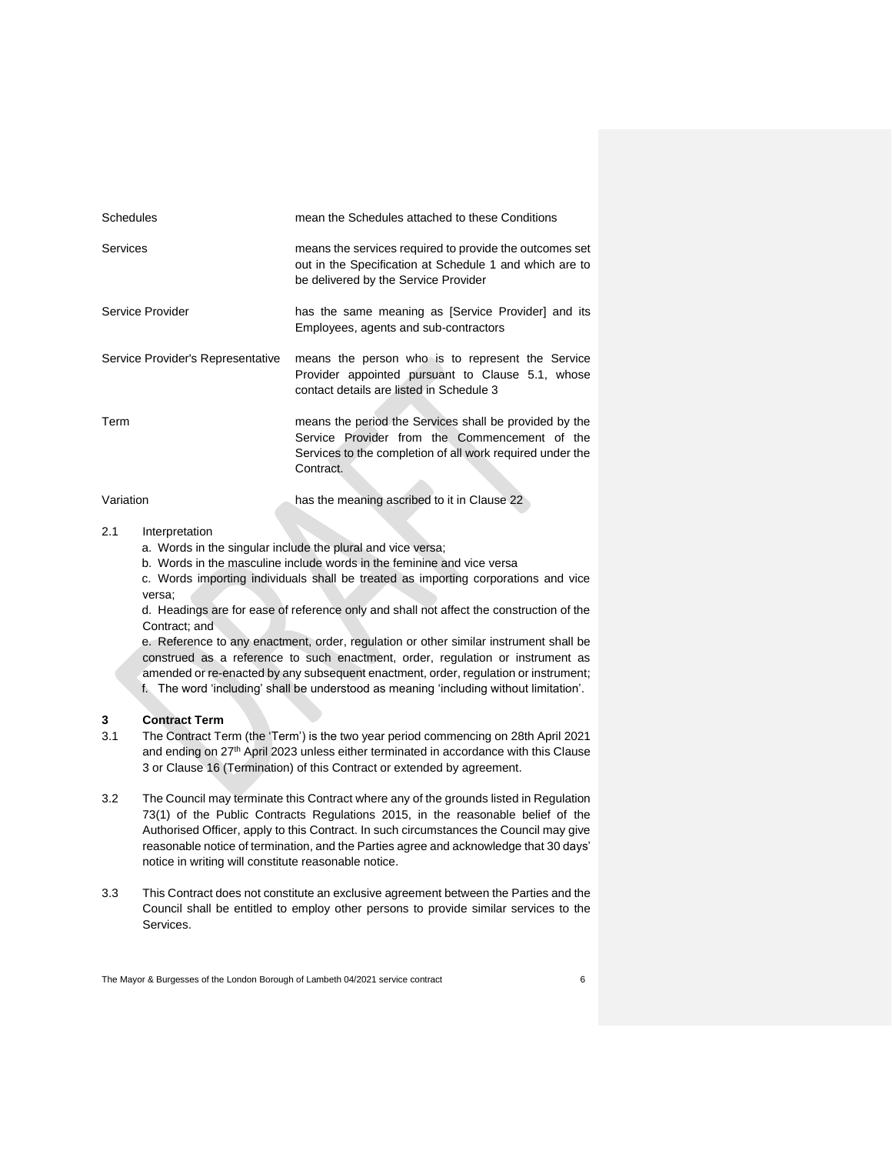| <b>Schedules</b>                  | mean the Schedules attached to these Conditions                                                                                                                                   |
|-----------------------------------|-----------------------------------------------------------------------------------------------------------------------------------------------------------------------------------|
| Services                          | means the services required to provide the outcomes set<br>out in the Specification at Schedule 1 and which are to<br>be delivered by the Service Provider                        |
| Service Provider                  | has the same meaning as [Service Provider] and its<br>Employees, agents and sub-contractors                                                                                       |
| Service Provider's Representative | means the person who is to represent the Service<br>Provider appointed pursuant to Clause 5.1, whose<br>contact details are listed in Schedule 3                                  |
| Term                              | means the period the Services shall be provided by the<br>Service Provider from the Commencement of the<br>Services to the completion of all work required under the<br>Contract. |
| Variation                         | has the meaning ascribed to it in Clause 22                                                                                                                                       |

# 2.1 Interpretation

- a. Words in the singular include the plural and vice versa;
- b. Words in the masculine include words in the feminine and vice versa

c. Words importing individuals shall be treated as importing corporations and vice versa;

d. Headings are for ease of reference only and shall not affect the construction of the Contract; and

e. Reference to any enactment, order, regulation or other similar instrument shall be construed as a reference to such enactment, order, regulation or instrument as amended or re-enacted by any subsequent enactment, order, regulation or instrument; f. The word 'including' shall be understood as meaning 'including without limitation'.

## **3 Contract Term**

- 3.1 The Contract Term (the 'Term') is the two year period commencing on 28th April 2021 and ending on 27<sup>th</sup> April 2023 unless either terminated in accordance with this Clause 3 or Clause 16 (Termination) of this Contract or extended by agreement.
- 3.2 The Council may terminate this Contract where any of the grounds listed in Regulation 73(1) of the Public Contracts Regulations 2015, in the reasonable belief of the Authorised Officer, apply to this Contract. In such circumstances the Council may give reasonable notice of termination, and the Parties agree and acknowledge that 30 days' notice in writing will constitute reasonable notice.
- 3.3 This Contract does not constitute an exclusive agreement between the Parties and the Council shall be entitled to employ other persons to provide similar services to the Services.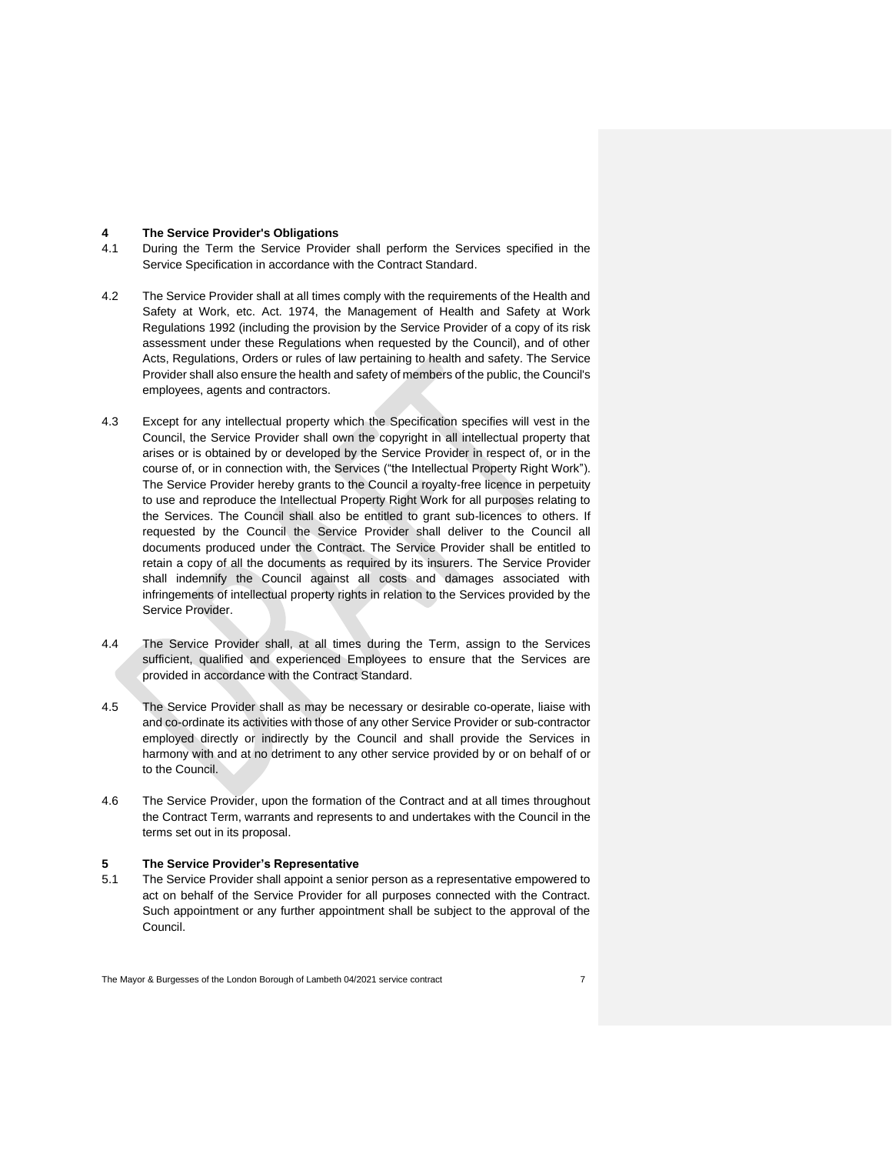#### **4 The Service Provider's Obligations**

- 4.1 During the Term the Service Provider shall perform the Services specified in the Service Specification in accordance with the Contract Standard.
- 4.2 The Service Provider shall at all times comply with the requirements of the Health and Safety at Work, etc. Act. 1974, the Management of Health and Safety at Work Regulations 1992 (including the provision by the Service Provider of a copy of its risk assessment under these Regulations when requested by the Council), and of other Acts, Regulations, Orders or rules of law pertaining to health and safety. The Service Provider shall also ensure the health and safety of members of the public, the Council's employees, agents and contractors.
- 4.3 Except for any intellectual property which the Specification specifies will vest in the Council, the Service Provider shall own the copyright in all intellectual property that arises or is obtained by or developed by the Service Provider in respect of, or in the course of, or in connection with, the Services ("the Intellectual Property Right Work"). The Service Provider hereby grants to the Council a royalty-free licence in perpetuity to use and reproduce the Intellectual Property Right Work for all purposes relating to the Services. The Council shall also be entitled to grant sub-licences to others. If requested by the Council the Service Provider shall deliver to the Council all documents produced under the Contract. The Service Provider shall be entitled to retain a copy of all the documents as required by its insurers. The Service Provider shall indemnify the Council against all costs and damages associated with infringements of intellectual property rights in relation to the Services provided by the Service Provider.
- 4.4 The Service Provider shall, at all times during the Term, assign to the Services sufficient, qualified and experienced Employees to ensure that the Services are provided in accordance with the Contract Standard.
- 4.5 The Service Provider shall as may be necessary or desirable co-operate, liaise with and co-ordinate its activities with those of any other Service Provider or sub-contractor employed directly or indirectly by the Council and shall provide the Services in harmony with and at no detriment to any other service provided by or on behalf of or to the Council.
- 4.6 The Service Provider, upon the formation of the Contract and at all times throughout the Contract Term, warrants and represents to and undertakes with the Council in the terms set out in its proposal.

#### **5 The Service Provider's Representative**

5.1 The Service Provider shall appoint a senior person as a representative empowered to act on behalf of the Service Provider for all purposes connected with the Contract. Such appointment or any further appointment shall be subject to the approval of the Council.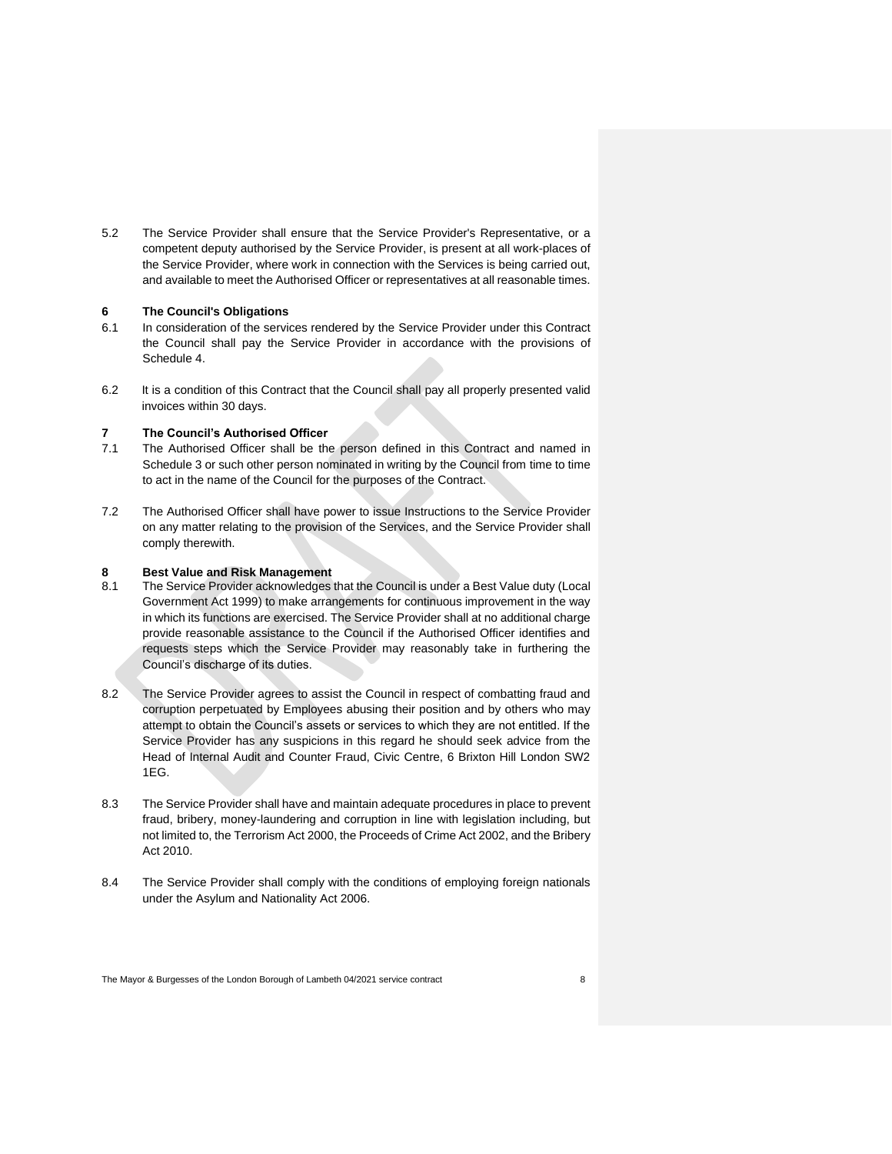5.2 The Service Provider shall ensure that the Service Provider's Representative, or a competent deputy authorised by the Service Provider, is present at all work-places of the Service Provider, where work in connection with the Services is being carried out, and available to meet the Authorised Officer or representatives at all reasonable times.

## **6 The Council's Obligations**

- 6.1 In consideration of the services rendered by the Service Provider under this Contract the Council shall pay the Service Provider in accordance with the provisions of Schedule 4.
- 6.2 It is a condition of this Contract that the Council shall pay all properly presented valid invoices within 30 days.

#### **7 The Council's Authorised Officer**

- 7.1 The Authorised Officer shall be the person defined in this Contract and named in Schedule 3 or such other person nominated in writing by the Council from time to time to act in the name of the Council for the purposes of the Contract.
- 7.2 The Authorised Officer shall have power to issue Instructions to the Service Provider on any matter relating to the provision of the Services, and the Service Provider shall comply therewith.

# **8 Best Value and Risk Management**

- The Service Provider acknowledges that the Council is under a Best Value duty (Local Government Act 1999) to make arrangements for continuous improvement in the way in which its functions are exercised. The Service Provider shall at no additional charge provide reasonable assistance to the Council if the Authorised Officer identifies and requests steps which the Service Provider may reasonably take in furthering the Council's discharge of its duties.
- 8.2 The Service Provider agrees to assist the Council in respect of combatting fraud and corruption perpetuated by Employees abusing their position and by others who may attempt to obtain the Council's assets or services to which they are not entitled. If the Service Provider has any suspicions in this regard he should seek advice from the Head of Internal Audit and Counter Fraud, Civic Centre, 6 Brixton Hill London SW2 1EG.
- 8.3 The Service Provider shall have and maintain adequate procedures in place to prevent fraud, bribery, money-laundering and corruption in line with legislation including, but not limited to, the Terrorism Act 2000, the Proceeds of Crime Act 2002, and the Bribery Act 2010.
- 8.4 The Service Provider shall comply with the conditions of employing foreign nationals under the Asylum and Nationality Act 2006.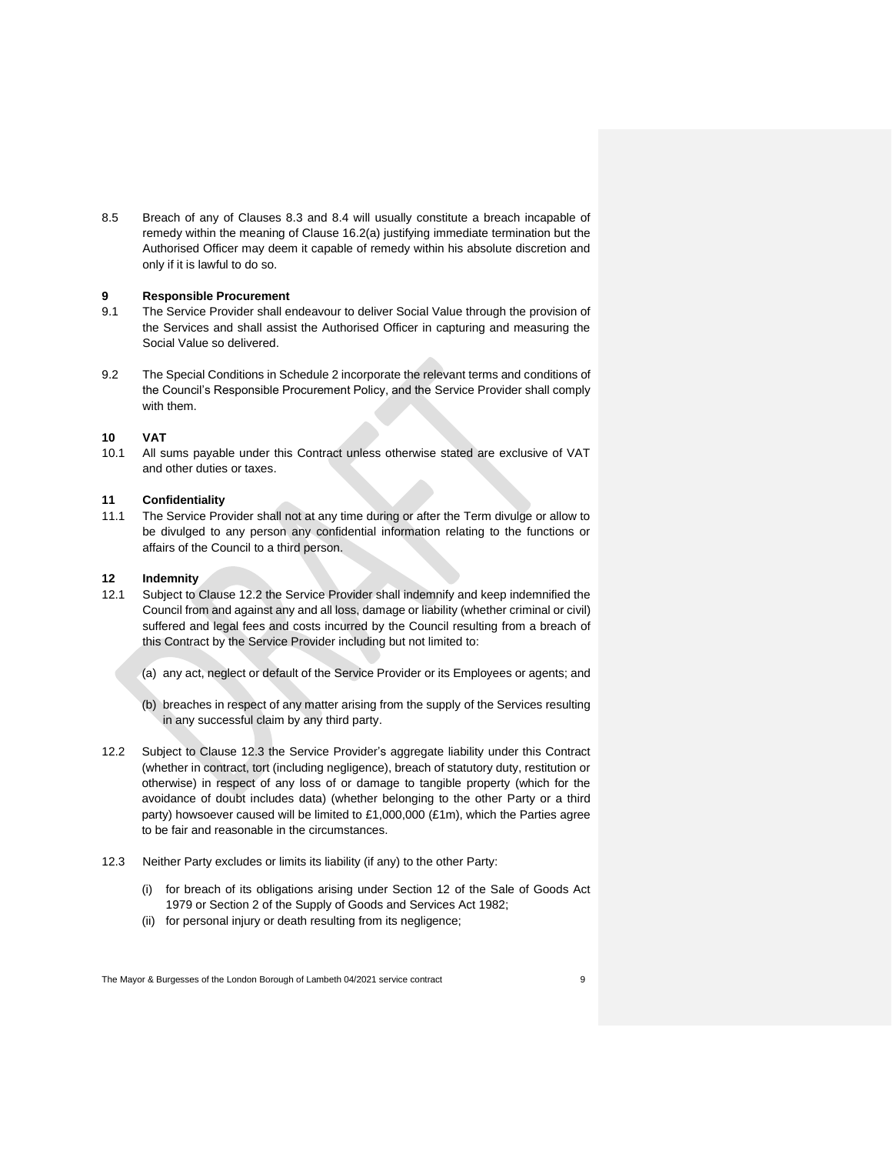8.5 Breach of any of Clauses 8.3 and 8.4 will usually constitute a breach incapable of remedy within the meaning of Clause 16.2(a) justifying immediate termination but the Authorised Officer may deem it capable of remedy within his absolute discretion and only if it is lawful to do so.

## **9 Responsible Procurement**

- 9.1 The Service Provider shall endeavour to deliver Social Value through the provision of the Services and shall assist the Authorised Officer in capturing and measuring the Social Value so delivered.
- 9.2 The Special Conditions in Schedule 2 incorporate the relevant terms and conditions of the Council's Responsible Procurement Policy, and the Service Provider shall comply with them.

## **10 VAT**

10.1 All sums payable under this Contract unless otherwise stated are exclusive of VAT and other duties or taxes.

## **11 Confidentiality**

11.1 The Service Provider shall not at any time during or after the Term divulge or allow to be divulged to any person any confidential information relating to the functions or affairs of the Council to a third person.

#### **12 Indemnity**

- 12.1 Subject to Clause 12.2 the Service Provider shall indemnify and keep indemnified the Council from and against any and all loss, damage or liability (whether criminal or civil) suffered and legal fees and costs incurred by the Council resulting from a breach of this Contract by the Service Provider including but not limited to:
	- (a) any act, neglect or default of the Service Provider or its Employees or agents; and
	- (b) breaches in respect of any matter arising from the supply of the Services resulting in any successful claim by any third party.
- 12.2 Subject to Clause 12.3 the Service Provider's aggregate liability under this Contract (whether in contract, tort (including negligence), breach of statutory duty, restitution or otherwise) in respect of any loss of or damage to tangible property (which for the avoidance of doubt includes data) (whether belonging to the other Party or a third party) howsoever caused will be limited to £1,000,000 (£1m), which the Parties agree to be fair and reasonable in the circumstances.
- 12.3 Neither Party excludes or limits its liability (if any) to the other Party:
	- (i) for breach of its obligations arising under Section 12 of the Sale of Goods Act 1979 or Section 2 of the Supply of Goods and Services Act 1982;
	- (ii) for personal injury or death resulting from its negligence;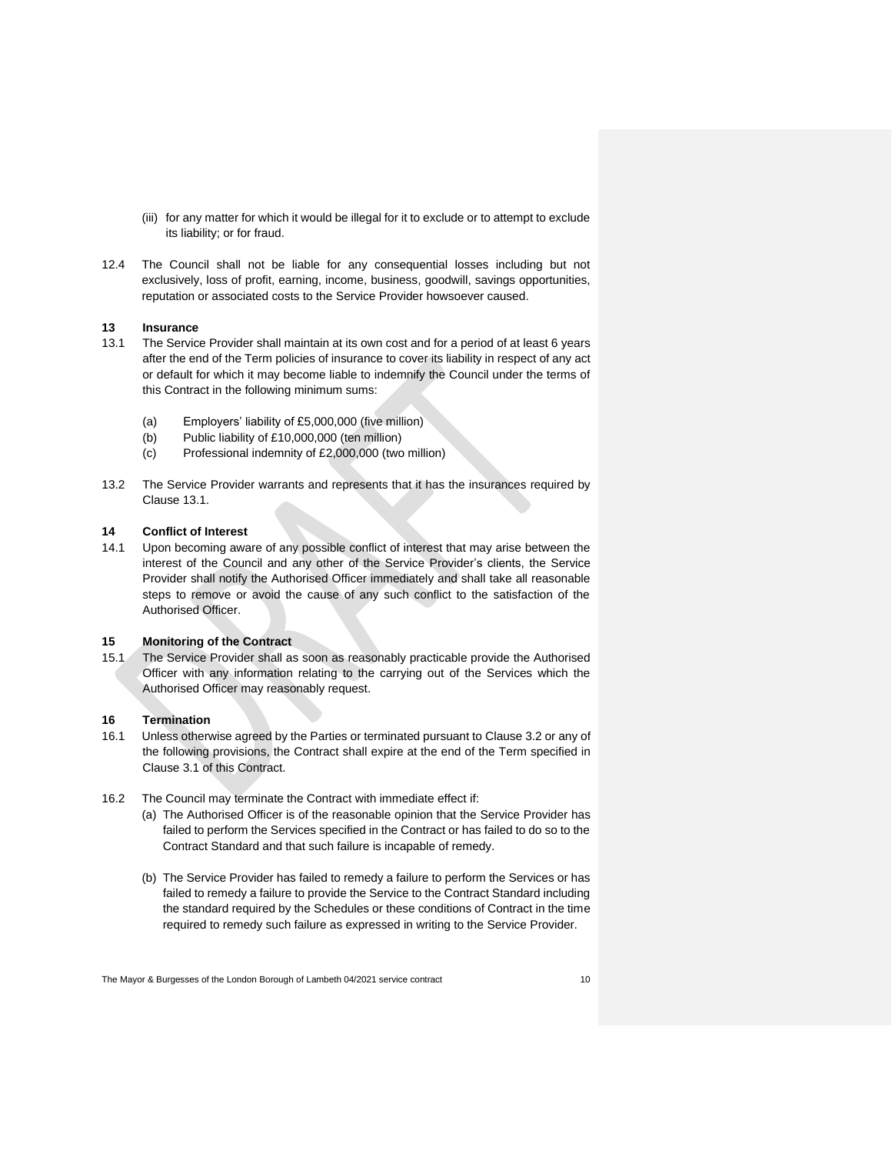- (iii) for any matter for which it would be illegal for it to exclude or to attempt to exclude its liability; or for fraud.
- 12.4 The Council shall not be liable for any consequential losses including but not exclusively, loss of profit, earning, income, business, goodwill, savings opportunities, reputation or associated costs to the Service Provider howsoever caused.

## **13 Insurance**

- 13.1 The Service Provider shall maintain at its own cost and for a period of at least 6 years after the end of the Term policies of insurance to cover its liability in respect of any act or default for which it may become liable to indemnify the Council under the terms of this Contract in the following minimum sums:
	- (a) Employers' liability of £5,000,000 (five million)
	- (b) Public liability of £10,000,000 (ten million)
	- (c) Professional indemnity of £2,000,000 (two million)
- 13.2 The Service Provider warrants and represents that it has the insurances required by Clause 13.1.

## **14 Conflict of Interest**

14.1 Upon becoming aware of any possible conflict of interest that may arise between the interest of the Council and any other of the Service Provider's clients, the Service Provider shall notify the Authorised Officer immediately and shall take all reasonable steps to remove or avoid the cause of any such conflict to the satisfaction of the Authorised Officer.

## **15 Monitoring of the Contract**

15.1 The Service Provider shall as soon as reasonably practicable provide the Authorised Officer with any information relating to the carrying out of the Services which the Authorised Officer may reasonably request.

#### **16 Termination**

- 16.1 Unless otherwise agreed by the Parties or terminated pursuant to Clause 3.2 or any of the following provisions, the Contract shall expire at the end of the Term specified in Clause 3.1 of this Contract.
- 16.2 The Council may terminate the Contract with immediate effect if:
	- (a) The Authorised Officer is of the reasonable opinion that the Service Provider has failed to perform the Services specified in the Contract or has failed to do so to the Contract Standard and that such failure is incapable of remedy.
	- (b) The Service Provider has failed to remedy a failure to perform the Services or has failed to remedy a failure to provide the Service to the Contract Standard including the standard required by the Schedules or these conditions of Contract in the time required to remedy such failure as expressed in writing to the Service Provider.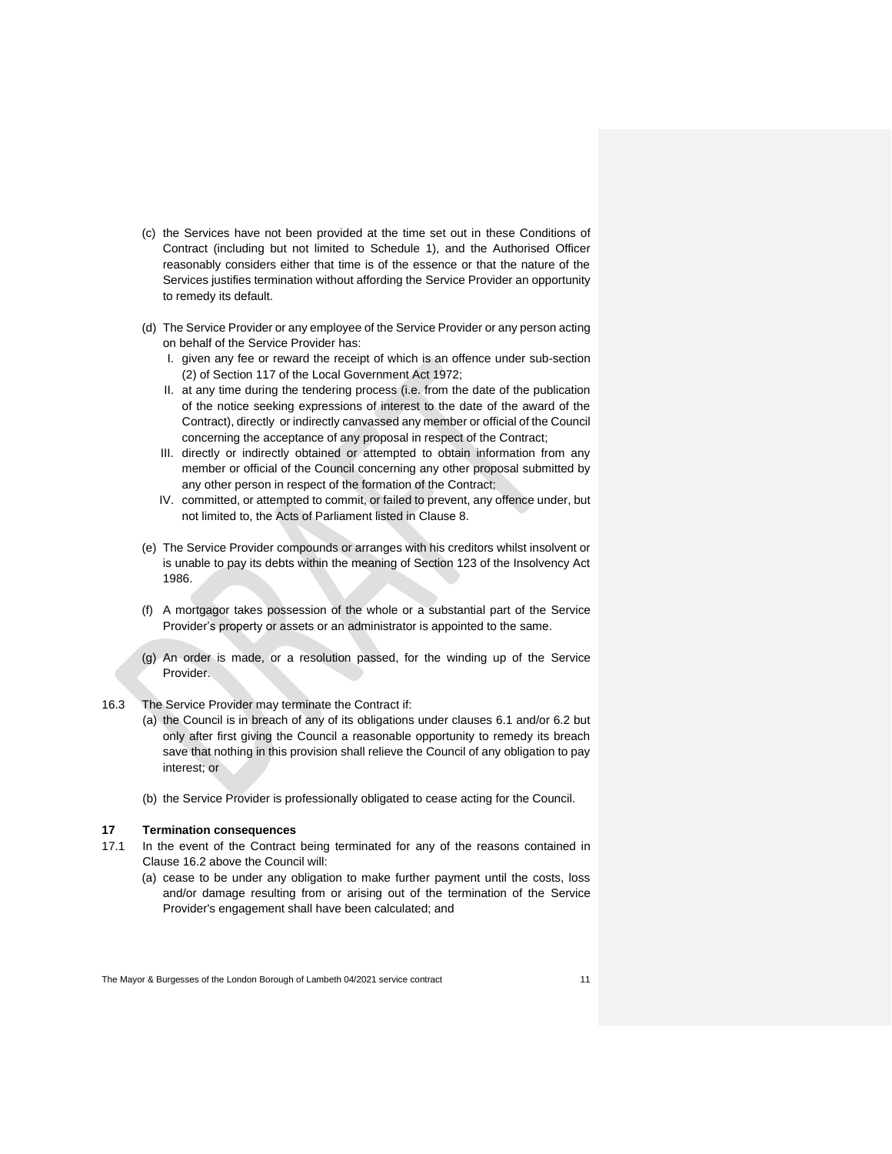- (c) the Services have not been provided at the time set out in these Conditions of Contract (including but not limited to Schedule 1), and the Authorised Officer reasonably considers either that time is of the essence or that the nature of the Services justifies termination without affording the Service Provider an opportunity to remedy its default.
- (d) The Service Provider or any employee of the Service Provider or any person acting on behalf of the Service Provider has:
	- I. given any fee or reward the receipt of which is an offence under sub-section (2) of Section 117 of the Local Government Act 1972;
	- II. at any time during the tendering process (i.e. from the date of the publication of the notice seeking expressions of interest to the date of the award of the Contract), directly or indirectly canvassed any member or official of the Council concerning the acceptance of any proposal in respect of the Contract;
	- III. directly or indirectly obtained or attempted to obtain information from any member or official of the Council concerning any other proposal submitted by any other person in respect of the formation of the Contract;
	- IV. committed, or attempted to commit, or failed to prevent, any offence under, but not limited to, the Acts of Parliament listed in Clause 8.
- (e) The Service Provider compounds or arranges with his creditors whilst insolvent or is unable to pay its debts within the meaning of Section 123 of the Insolvency Act 1986.
- (f) A mortgagor takes possession of the whole or a substantial part of the Service Provider's property or assets or an administrator is appointed to the same.
- (g) An order is made, or a resolution passed, for the winding up of the Service Provider.
- 16.3 The Service Provider may terminate the Contract if:
	- (a) the Council is in breach of any of its obligations under clauses 6.1 and/or 6.2 but only after first giving the Council a reasonable opportunity to remedy its breach save that nothing in this provision shall relieve the Council of any obligation to pay interest; or
	- (b) the Service Provider is professionally obligated to cease acting for the Council.

#### **17 Termination consequences**

- 17.1 In the event of the Contract being terminated for any of the reasons contained in Clause 16.2 above the Council will:
	- (a) cease to be under any obligation to make further payment until the costs, loss and/or damage resulting from or arising out of the termination of the Service Provider's engagement shall have been calculated; and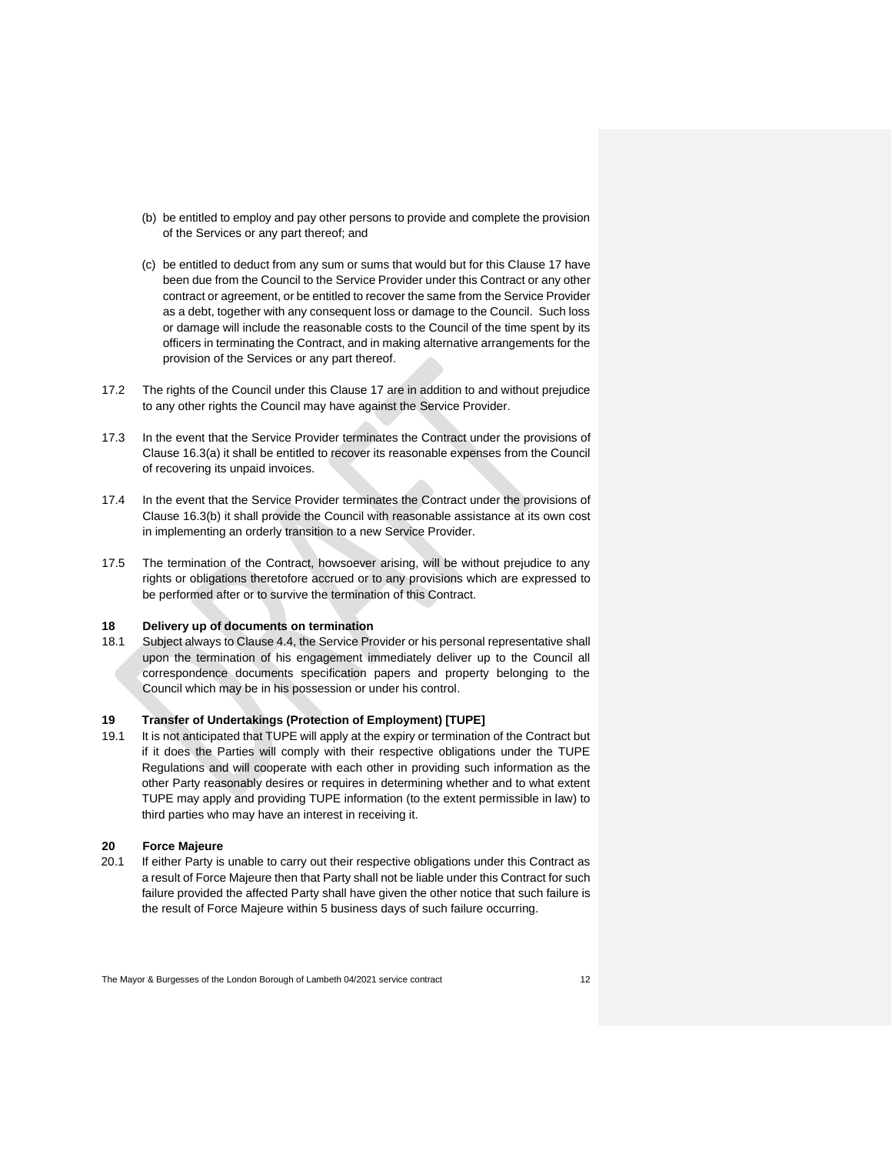- (b) be entitled to employ and pay other persons to provide and complete the provision of the Services or any part thereof; and
- (c) be entitled to deduct from any sum or sums that would but for this Clause 17 have been due from the Council to the Service Provider under this Contract or any other contract or agreement, or be entitled to recover the same from the Service Provider as a debt, together with any consequent loss or damage to the Council. Such loss or damage will include the reasonable costs to the Council of the time spent by its officers in terminating the Contract, and in making alternative arrangements for the provision of the Services or any part thereof.
- 17.2 The rights of the Council under this Clause 17 are in addition to and without prejudice to any other rights the Council may have against the Service Provider.
- 17.3 In the event that the Service Provider terminates the Contract under the provisions of Clause 16.3(a) it shall be entitled to recover its reasonable expenses from the Council of recovering its unpaid invoices.
- 17.4 In the event that the Service Provider terminates the Contract under the provisions of Clause 16.3(b) it shall provide the Council with reasonable assistance at its own cost in implementing an orderly transition to a new Service Provider.
- 17.5 The termination of the Contract, howsoever arising, will be without prejudice to any rights or obligations theretofore accrued or to any provisions which are expressed to be performed after or to survive the termination of this Contract.

#### **18 Delivery up of documents on termination**

18.1 Subject always to Clause 4.4, the Service Provider or his personal representative shall upon the termination of his engagement immediately deliver up to the Council all correspondence documents specification papers and property belonging to the Council which may be in his possession or under his control.

## **19 Transfer of Undertakings (Protection of Employment) [TUPE]**

19.1 It is not anticipated that TUPE will apply at the expiry or termination of the Contract but if it does the Parties will comply with their respective obligations under the TUPE Regulations and will cooperate with each other in providing such information as the other Party reasonably desires or requires in determining whether and to what extent TUPE may apply and providing TUPE information (to the extent permissible in law) to third parties who may have an interest in receiving it.

#### **20 Force Majeure**

20.1 If either Party is unable to carry out their respective obligations under this Contract as a result of Force Majeure then that Party shall not be liable under this Contract for such failure provided the affected Party shall have given the other notice that such failure is the result of Force Majeure within 5 business days of such failure occurring.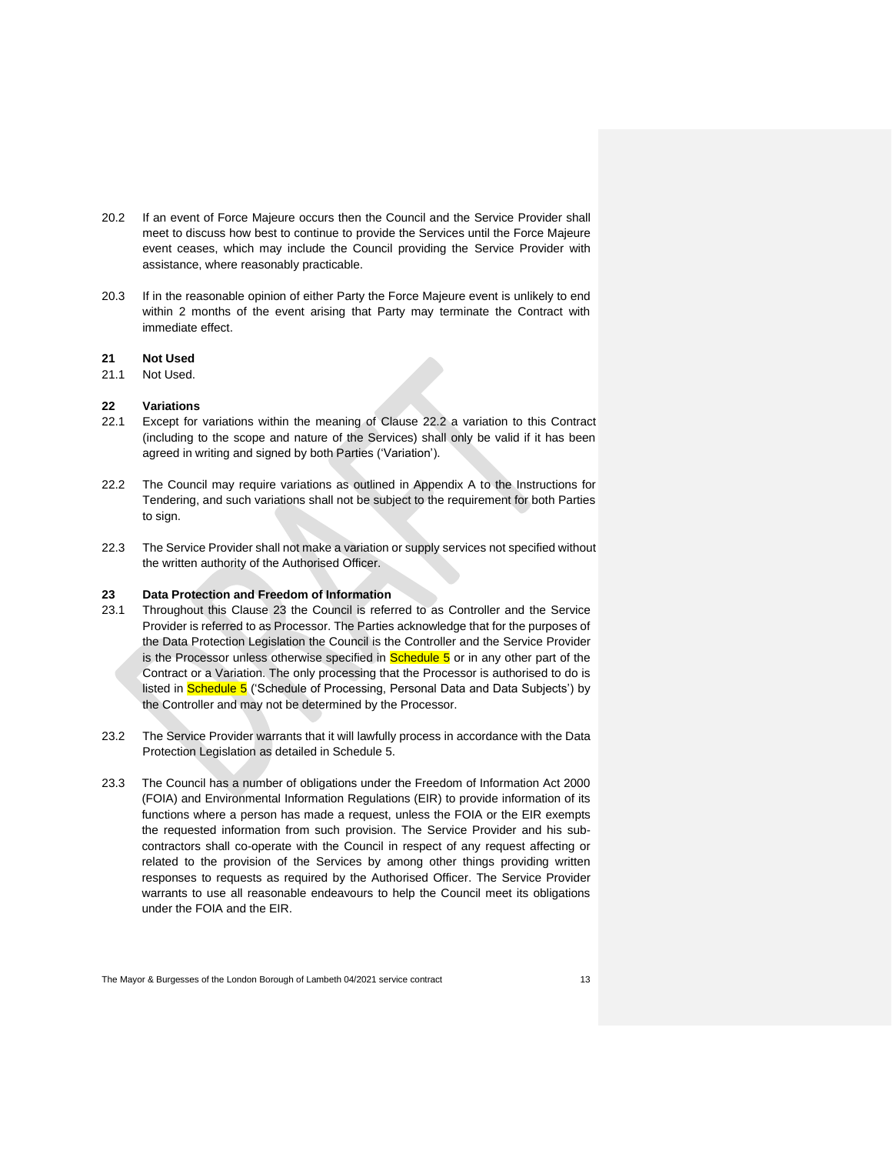- 20.2 If an event of Force Majeure occurs then the Council and the Service Provider shall meet to discuss how best to continue to provide the Services until the Force Majeure event ceases, which may include the Council providing the Service Provider with assistance, where reasonably practicable.
- 20.3 If in the reasonable opinion of either Party the Force Majeure event is unlikely to end within 2 months of the event arising that Party may terminate the Contract with immediate effect.

# **21 Not Used**

21.1 Not Used.

## **22 Variations**

- 22.1 Except for variations within the meaning of Clause 22.2 a variation to this Contract (including to the scope and nature of the Services) shall only be valid if it has been agreed in writing and signed by both Parties ('Variation').
- 22.2 The Council may require variations as outlined in Appendix A to the Instructions for Tendering, and such variations shall not be subject to the requirement for both Parties to sign.
- 22.3 The Service Provider shall not make a variation or supply services not specified without the written authority of the Authorised Officer.

#### **23 Data Protection and Freedom of Information**

- 23.1 Throughout this Clause 23 the Council is referred to as Controller and the Service Provider is referred to as Processor. The Parties acknowledge that for the purposes of the Data Protection Legislation the Council is the Controller and the Service Provider is the Processor unless otherwise specified in  $S$ chedule  $5$  or in any other part of the Contract or a Variation. The only processing that the Processor is authorised to do is listed in **Schedule 5** ('Schedule of Processing, Personal Data and Data Subjects') by the Controller and may not be determined by the Processor.
- 23.2 The Service Provider warrants that it will lawfully process in accordance with the Data Protection Legislation as detailed in Schedule 5.
- 23.3 The Council has a number of obligations under the Freedom of Information Act 2000 (FOIA) and Environmental Information Regulations (EIR) to provide information of its functions where a person has made a request, unless the FOIA or the EIR exempts the requested information from such provision. The Service Provider and his subcontractors shall co-operate with the Council in respect of any request affecting or related to the provision of the Services by among other things providing written responses to requests as required by the Authorised Officer. The Service Provider warrants to use all reasonable endeavours to help the Council meet its obligations under the FOIA and the EIR.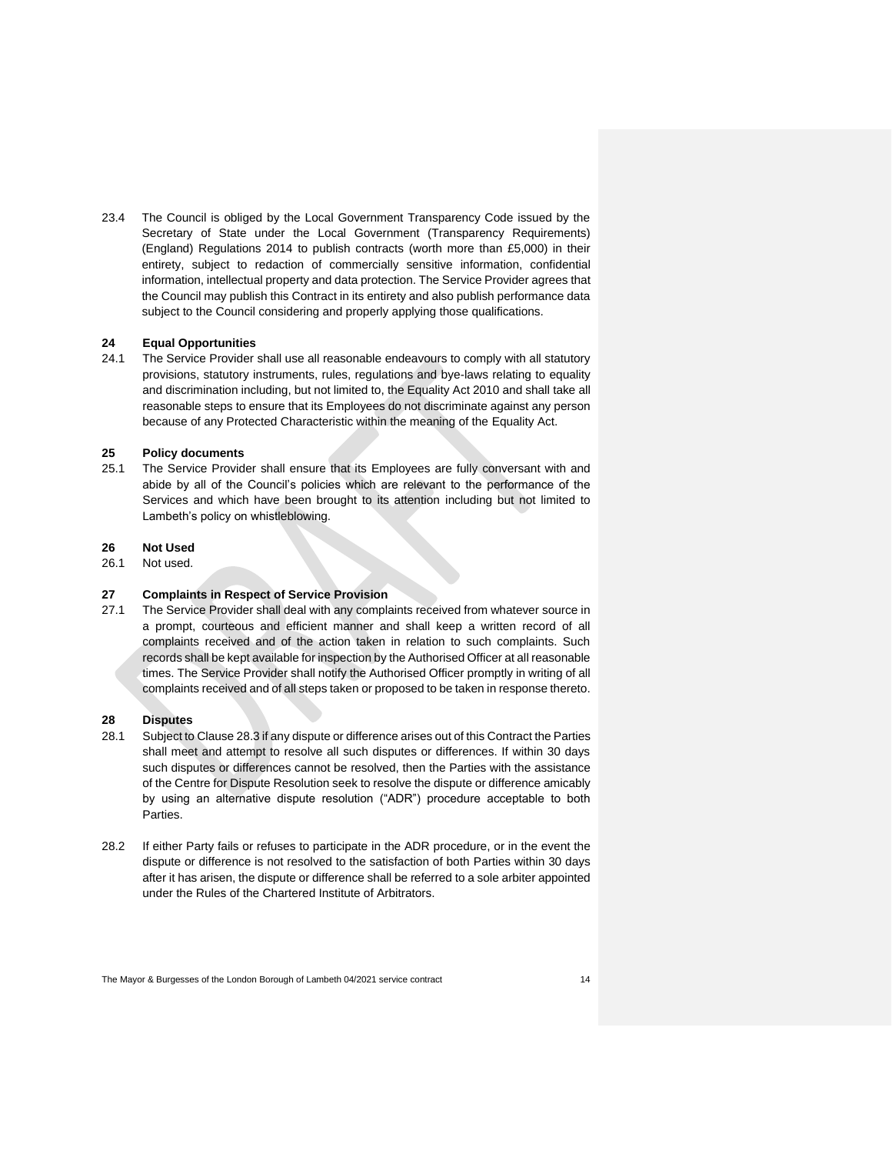23.4 The Council is obliged by the Local Government Transparency Code issued by the Secretary of State under the Local Government (Transparency Requirements) (England) Regulations 2014 to publish contracts (worth more than £5,000) in their entirety, subject to redaction of commercially sensitive information, confidential information, intellectual property and data protection. The Service Provider agrees that the Council may publish this Contract in its entirety and also publish performance data subject to the Council considering and properly applying those qualifications.

## **24 Equal Opportunities**

24.1 The Service Provider shall use all reasonable endeavours to comply with all statutory provisions, statutory instruments, rules, regulations and bye-laws relating to equality and discrimination including, but not limited to, the Equality Act 2010 and shall take all reasonable steps to ensure that its Employees do not discriminate against any person because of any Protected Characteristic within the meaning of the Equality Act.

## **25 Policy documents**

25.1 The Service Provider shall ensure that its Employees are fully conversant with and abide by all of the Council's policies which are relevant to the performance of the Services and which have been brought to its attention including but not limited to Lambeth's policy on whistleblowing.

## **26 Not Used**

26.1 Not used.

#### **27 Complaints in Respect of Service Provision**

27.1 The Service Provider shall deal with any complaints received from whatever source in a prompt, courteous and efficient manner and shall keep a written record of all complaints received and of the action taken in relation to such complaints. Such records shall be kept available for inspection by the Authorised Officer at all reasonable times. The Service Provider shall notify the Authorised Officer promptly in writing of all complaints received and of all steps taken or proposed to be taken in response thereto.

## **28 Disputes**

- 28.1 Subject to Clause 28.3 if any dispute or difference arises out of this Contract the Parties shall meet and attempt to resolve all such disputes or differences. If within 30 days such disputes or differences cannot be resolved, then the Parties with the assistance of the Centre for Dispute Resolution seek to resolve the dispute or difference amicably by using an alternative dispute resolution ("ADR") procedure acceptable to both **Parties**
- 28.2 If either Party fails or refuses to participate in the ADR procedure, or in the event the dispute or difference is not resolved to the satisfaction of both Parties within 30 days after it has arisen, the dispute or difference shall be referred to a sole arbiter appointed under the Rules of the Chartered Institute of Arbitrators.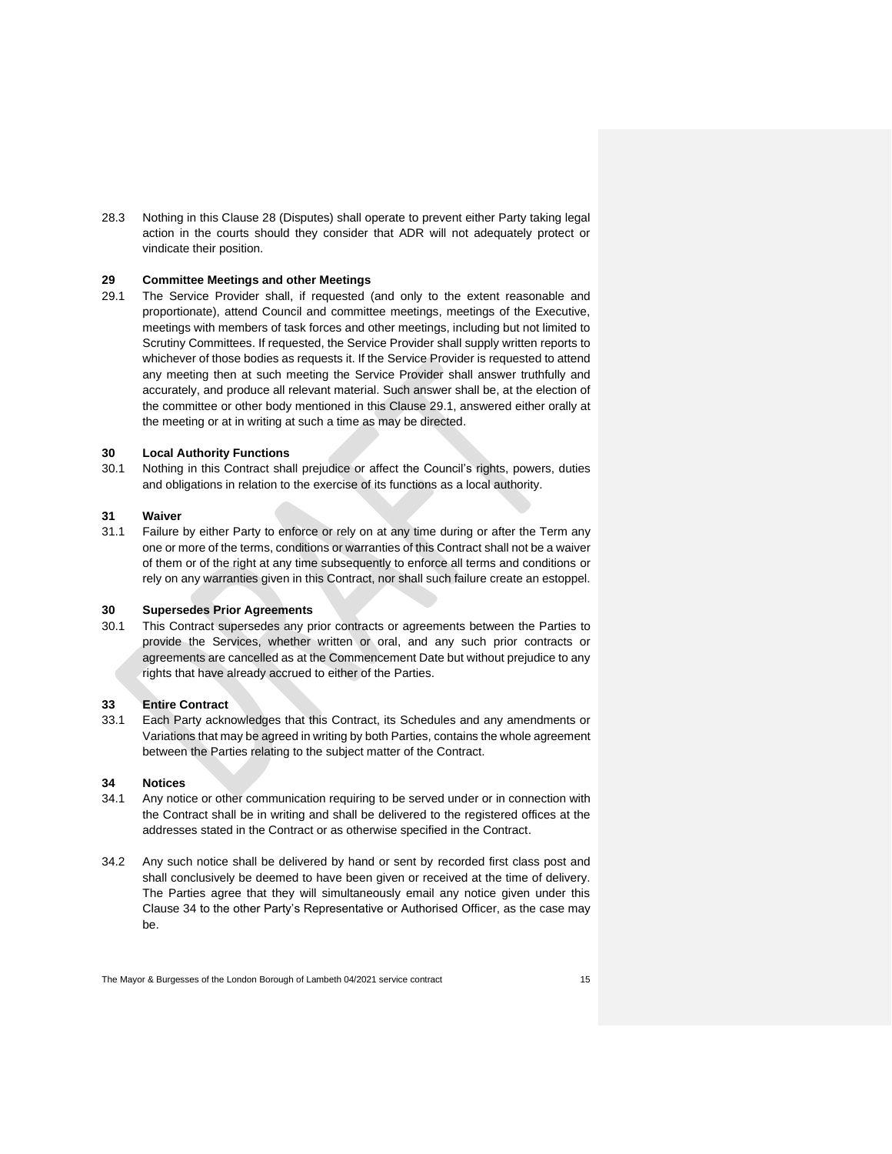28.3 Nothing in this Clause 28 (Disputes) shall operate to prevent either Party taking legal action in the courts should they consider that ADR will not adequately protect or vindicate their position.

## **29 Committee Meetings and other Meetings**

29.1 The Service Provider shall, if requested (and only to the extent reasonable and proportionate), attend Council and committee meetings, meetings of the Executive, meetings with members of task forces and other meetings, including but not limited to Scrutiny Committees. If requested, the Service Provider shall supply written reports to whichever of those bodies as requests it. If the Service Provider is requested to attend any meeting then at such meeting the Service Provider shall answer truthfully and accurately, and produce all relevant material. Such answer shall be, at the election of the committee or other body mentioned in this Clause 29.1, answered either orally at the meeting or at in writing at such a time as may be directed.

## **30 Local Authority Functions**

30.1 Nothing in this Contract shall prejudice or affect the Council's rights, powers, duties and obligations in relation to the exercise of its functions as a local authority.

#### **31 Waiver**

31.1 Failure by either Party to enforce or rely on at any time during or after the Term any one or more of the terms, conditions or warranties of this Contract shall not be a waiver of them or of the right at any time subsequently to enforce all terms and conditions or rely on any warranties given in this Contract, nor shall such failure create an estoppel.

#### **30 Supersedes Prior Agreements**

30.1 This Contract supersedes any prior contracts or agreements between the Parties to provide the Services, whether written or oral, and any such prior contracts or agreements are cancelled as at the Commencement Date but without prejudice to any rights that have already accrued to either of the Parties.

#### **33 Entire Contract**

33.1 Each Party acknowledges that this Contract, its Schedules and any amendments or Variations that may be agreed in writing by both Parties, contains the whole agreement between the Parties relating to the subject matter of the Contract.

## **34 Notices**

- 34.1 Any notice or other communication requiring to be served under or in connection with the Contract shall be in writing and shall be delivered to the registered offices at the addresses stated in the Contract or as otherwise specified in the Contract.
- 34.2 Any such notice shall be delivered by hand or sent by recorded first class post and shall conclusively be deemed to have been given or received at the time of delivery. The Parties agree that they will simultaneously email any notice given under this Clause 34 to the other Party's Representative or Authorised Officer, as the case may be.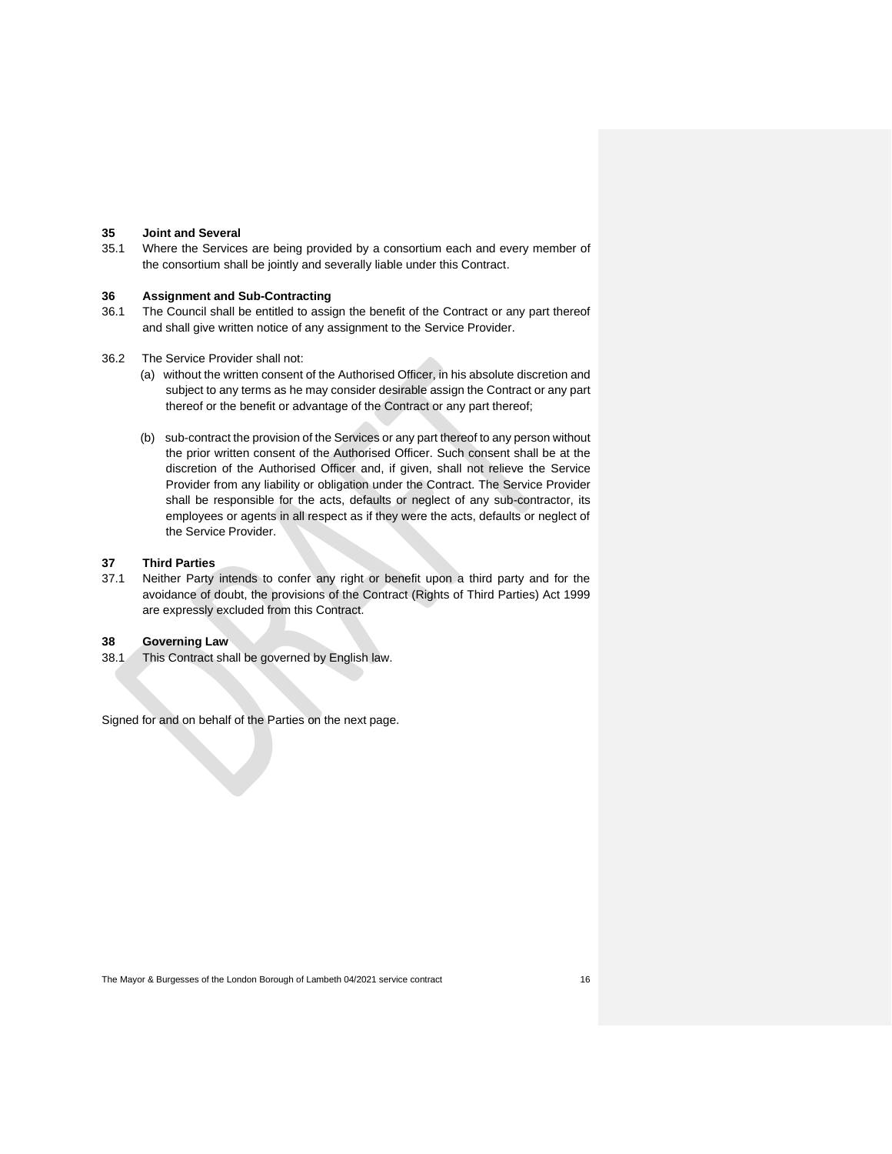## **35 Joint and Several**

35.1 Where the Services are being provided by a consortium each and every member of the consortium shall be jointly and severally liable under this Contract.

## **36 Assignment and Sub-Contracting**

- 36.1 The Council shall be entitled to assign the benefit of the Contract or any part thereof and shall give written notice of any assignment to the Service Provider.
- 36.2 The Service Provider shall not:
	- (a) without the written consent of the Authorised Officer, in his absolute discretion and subject to any terms as he may consider desirable assign the Contract or any part thereof or the benefit or advantage of the Contract or any part thereof;
	- (b) sub-contract the provision of the Services or any part thereof to any person without the prior written consent of the Authorised Officer. Such consent shall be at the discretion of the Authorised Officer and, if given, shall not relieve the Service Provider from any liability or obligation under the Contract. The Service Provider shall be responsible for the acts, defaults or neglect of any sub-contractor, its employees or agents in all respect as if they were the acts, defaults or neglect of the Service Provider.

## **37 Third Parties**

37.1 Neither Party intends to confer any right or benefit upon a third party and for the avoidance of doubt, the provisions of the Contract (Rights of Third Parties) Act 1999 are expressly excluded from this Contract.

#### **38 Governing Law**

38.1 This Contract shall be governed by English law.

Signed for and on behalf of the Parties on the next page.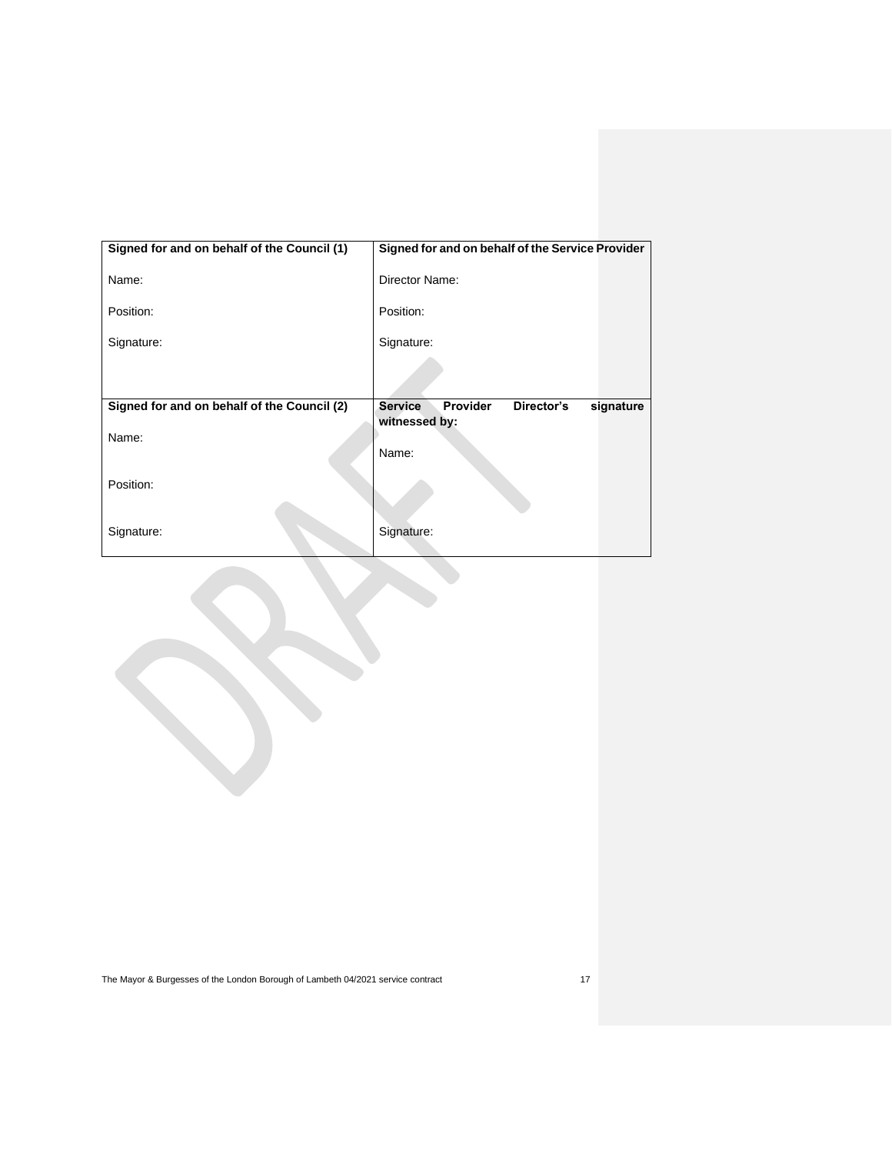| Signed for and on behalf of the Council (1) | Signed for and on behalf of the Service Provider      |
|---------------------------------------------|-------------------------------------------------------|
| Name:                                       | Director Name:                                        |
| Position:                                   | Position:                                             |
| Signature:                                  | Signature:                                            |
|                                             |                                                       |
| Signed for and on behalf of the Council (2) | Provider<br>Director's<br><b>Service</b><br>signature |
| Name:                                       | witnessed by:<br>Name:                                |
| Position:                                   |                                                       |
| Signature:                                  | Signature:                                            |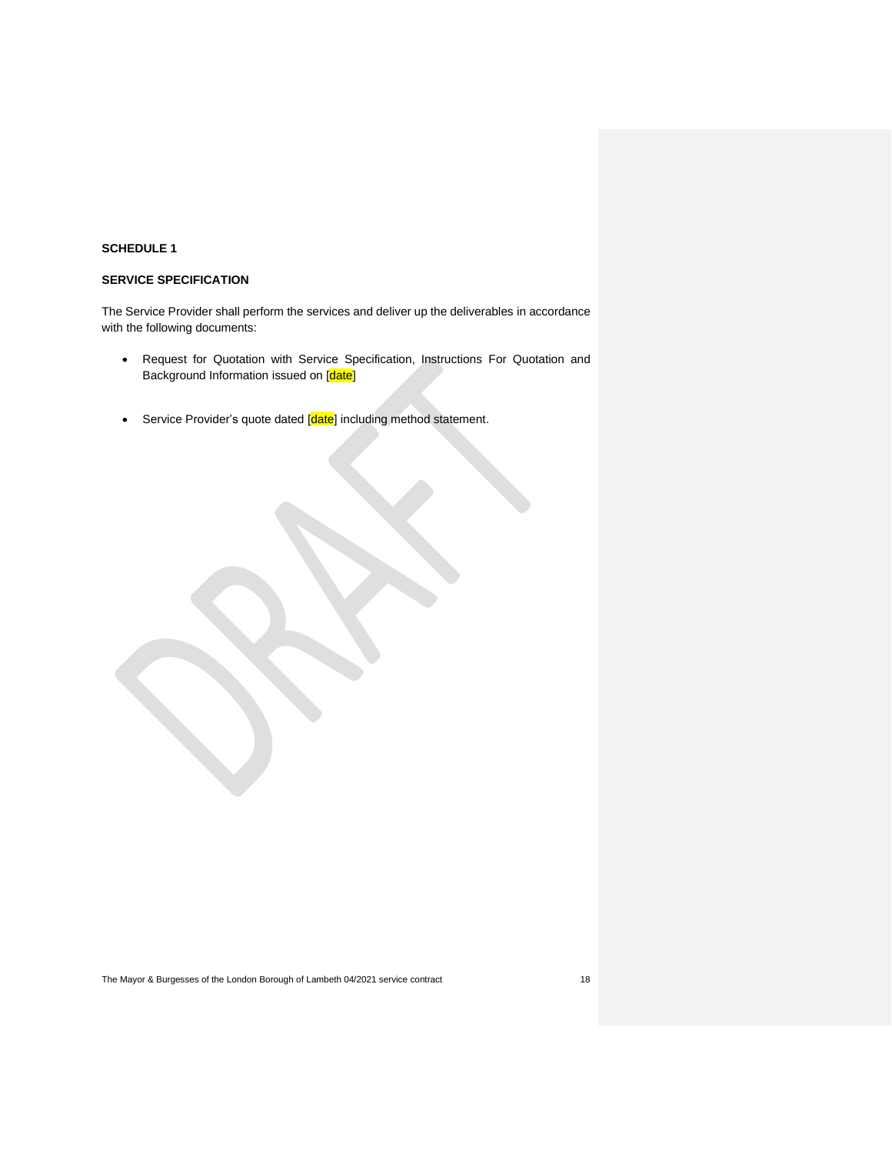# **SERVICE SPECIFICATION**

The Service Provider shall perform the services and deliver up the deliverables in accordance with the following documents:

- Request for Quotation with Service Specification, Instructions For Quotation and Background Information issued on [date]
- Service Provider's quote dated [date] including method statement.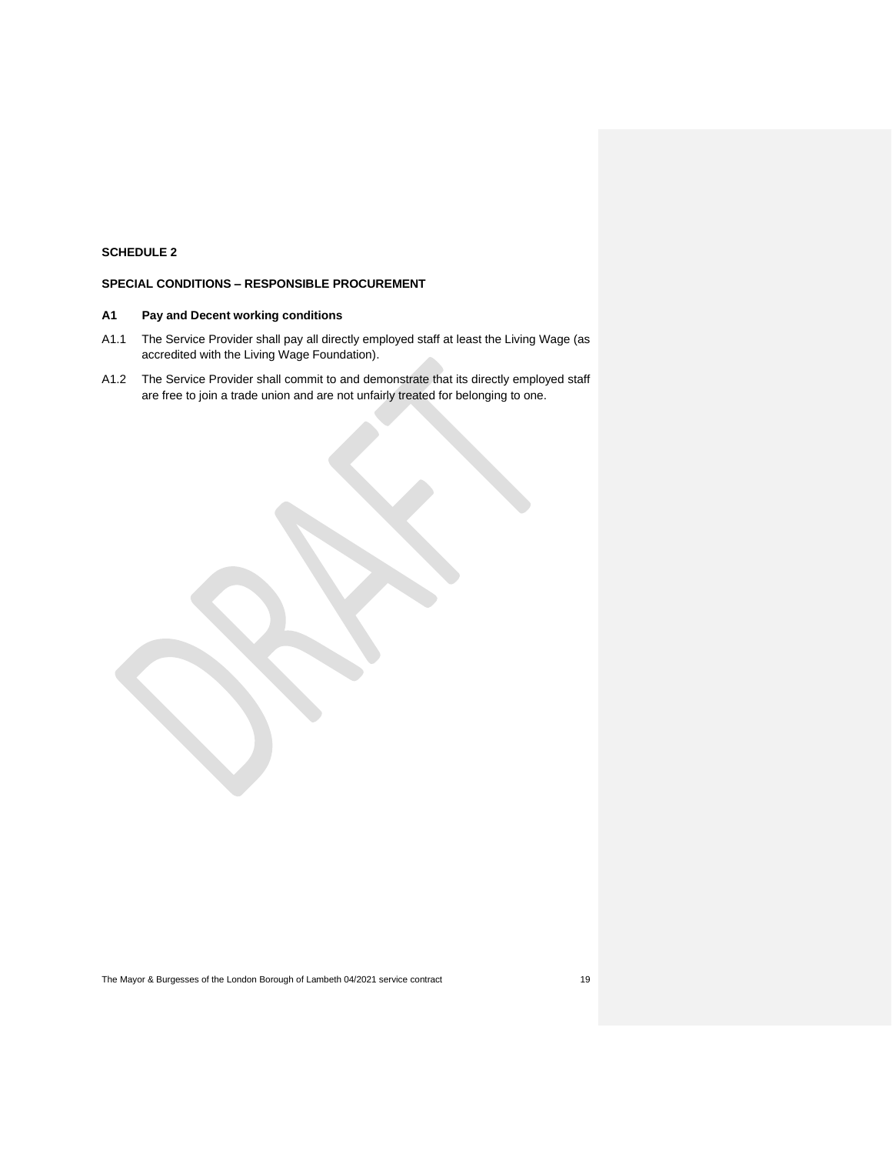# **SPECIAL CONDITIONS – RESPONSIBLE PROCUREMENT**

## **A1 Pay and Decent working conditions**

- A1.1 The Service Provider shall pay all directly employed staff at least the Living Wage (as accredited with the Living Wage Foundation).
- A1.2 The Service Provider shall commit to and demonstrate that its directly employed staff are free to join a trade union and are not unfairly treated for belonging to one.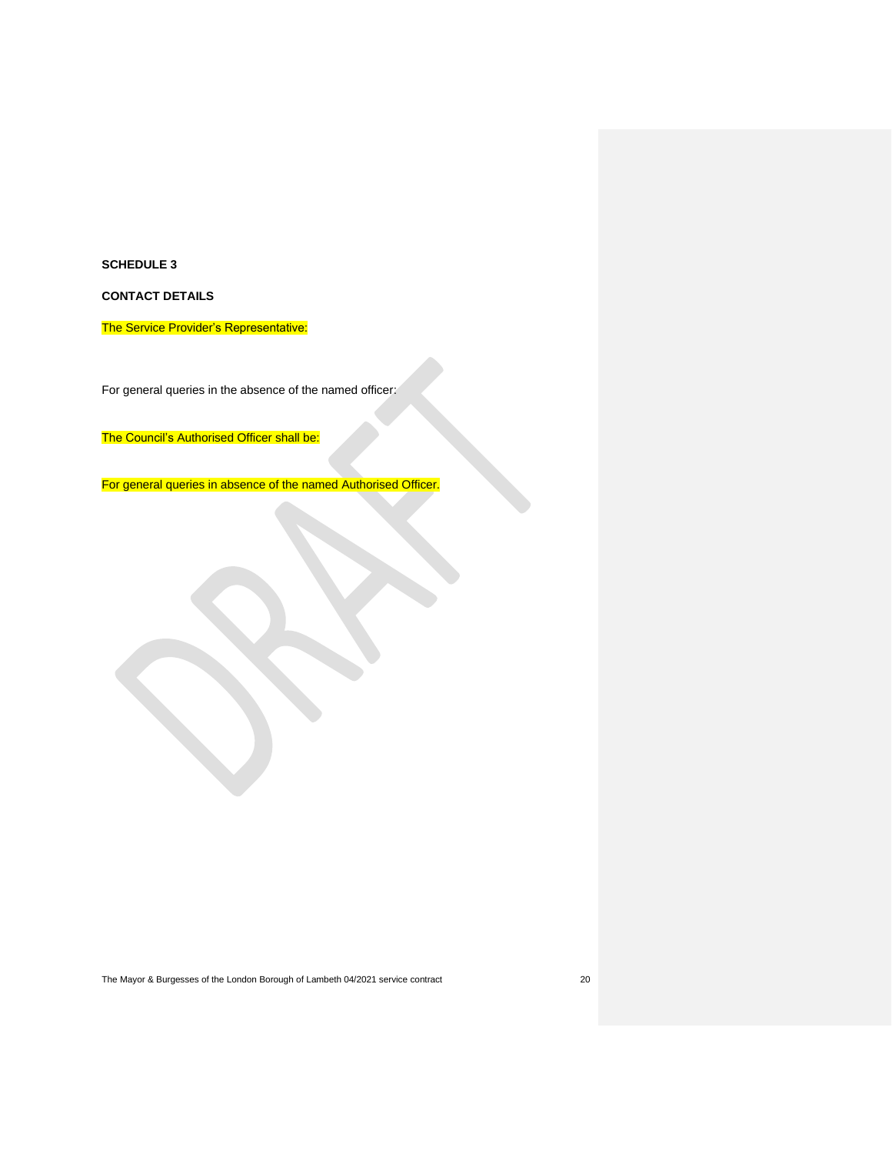**CONTACT DETAILS**

The Service Provider's Representative:

For general queries in the absence of the named officer:

The Council's Authorised Officer shall be:

For general queries in absence of the named Authorised Officer.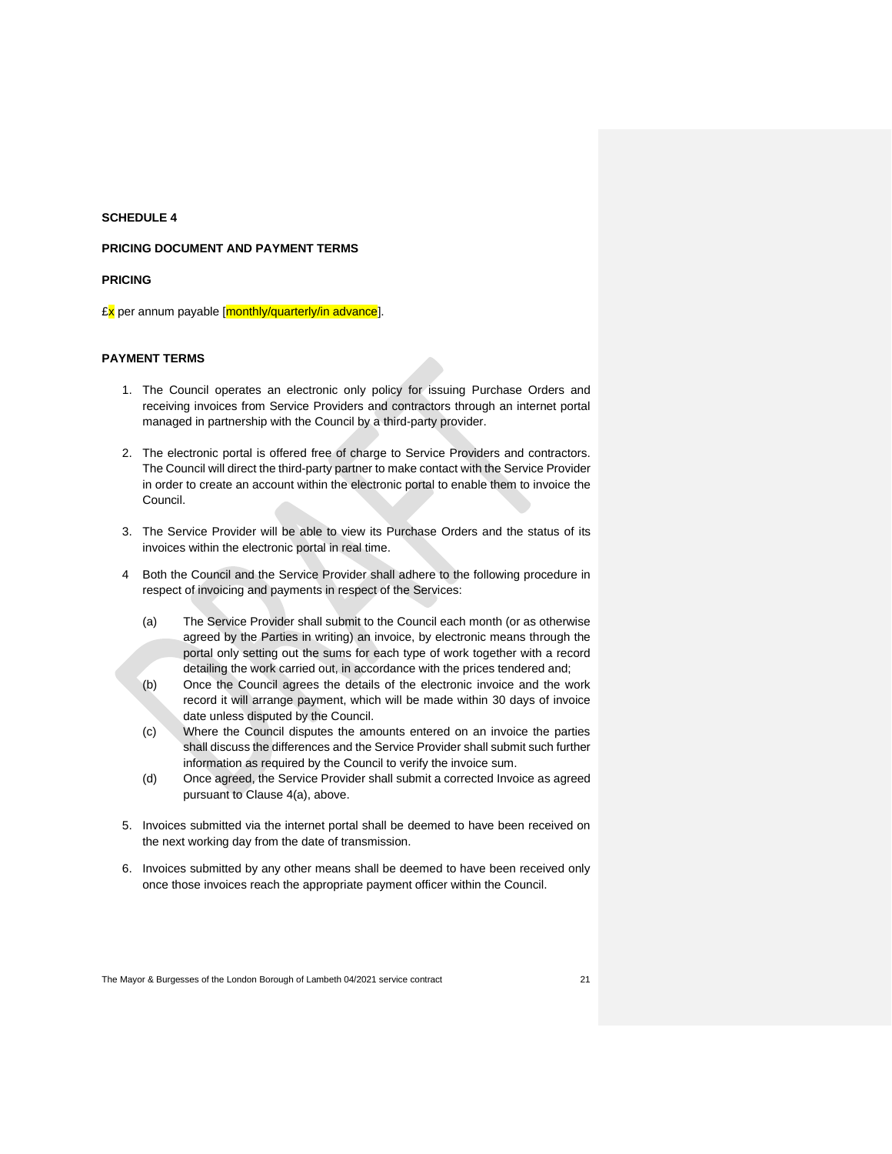## **PRICING DOCUMENT AND PAYMENT TERMS**

#### **PRICING**

£x per annum payable [monthly/quarterly/in advance].

## **PAYMENT TERMS**

- 1. The Council operates an electronic only policy for issuing Purchase Orders and receiving invoices from Service Providers and contractors through an internet portal managed in partnership with the Council by a third-party provider.
- 2. The electronic portal is offered free of charge to Service Providers and contractors. The Council will direct the third-party partner to make contact with the Service Provider in order to create an account within the electronic portal to enable them to invoice the Council.
- 3. The Service Provider will be able to view its Purchase Orders and the status of its invoices within the electronic portal in real time.
- 4 Both the Council and the Service Provider shall adhere to the following procedure in respect of invoicing and payments in respect of the Services:
	- (a) The Service Provider shall submit to the Council each month (or as otherwise agreed by the Parties in writing) an invoice, by electronic means through the portal only setting out the sums for each type of work together with a record detailing the work carried out, in accordance with the prices tendered and;
	- (b) Once the Council agrees the details of the electronic invoice and the work record it will arrange payment, which will be made within 30 days of invoice date unless disputed by the Council.
	- (c) Where the Council disputes the amounts entered on an invoice the parties shall discuss the differences and the Service Provider shall submit such further information as required by the Council to verify the invoice sum.
	- (d) Once agreed, the Service Provider shall submit a corrected Invoice as agreed pursuant to Clause 4(a), above.
- 5. Invoices submitted via the internet portal shall be deemed to have been received on the next working day from the date of transmission.
- 6. Invoices submitted by any other means shall be deemed to have been received only once those invoices reach the appropriate payment officer within the Council.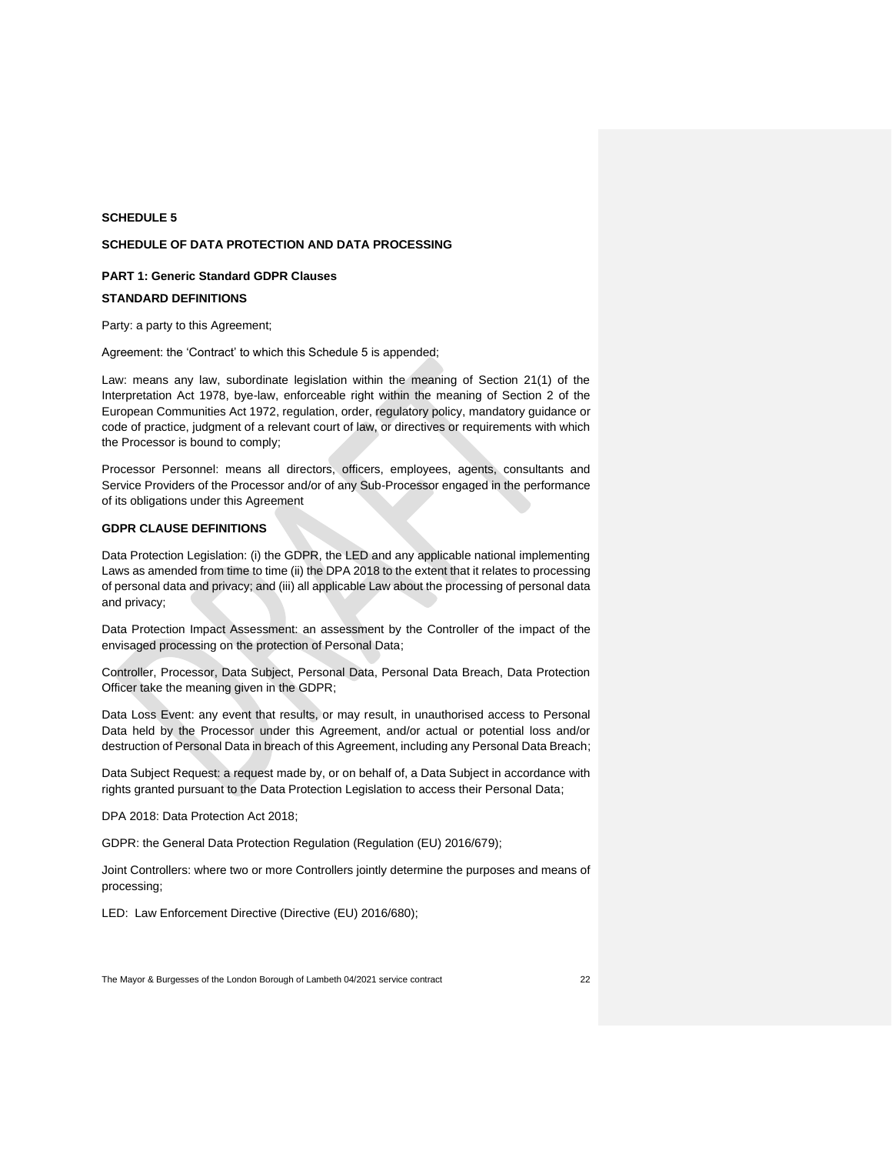#### **SCHEDULE OF DATA PROTECTION AND DATA PROCESSING**

#### **PART 1: Generic Standard GDPR Clauses**

## **STANDARD DEFINITIONS**

Party: a party to this Agreement;

Agreement: the 'Contract' to which this Schedule 5 is appended;

Law: means any law, subordinate legislation within the meaning of Section 21(1) of the Interpretation Act 1978, bye-law, enforceable right within the meaning of Section 2 of the European Communities Act 1972, regulation, order, regulatory policy, mandatory guidance or code of practice, judgment of a relevant court of law, or directives or requirements with which the Processor is bound to comply;

Processor Personnel: means all directors, officers, employees, agents, consultants and Service Providers of the Processor and/or of any Sub-Processor engaged in the performance of its obligations under this Agreement

## **GDPR CLAUSE DEFINITIONS**

Data Protection Legislation: (i) the GDPR, the LED and any applicable national implementing Laws as amended from time to time (ii) the DPA 2018 to the extent that it relates to processing of personal data and privacy; and (iii) all applicable Law about the processing of personal data and privacy;

Data Protection Impact Assessment: an assessment by the Controller of the impact of the envisaged processing on the protection of Personal Data;

Controller, Processor, Data Subject, Personal Data, Personal Data Breach, Data Protection Officer take the meaning given in the GDPR;

Data Loss Event: any event that results, or may result, in unauthorised access to Personal Data held by the Processor under this Agreement, and/or actual or potential loss and/or destruction of Personal Data in breach of this Agreement, including any Personal Data Breach;

Data Subject Request: a request made by, or on behalf of, a Data Subject in accordance with rights granted pursuant to the Data Protection Legislation to access their Personal Data;

DPA 2018: Data Protection Act 2018;

GDPR: the General Data Protection Regulation (Regulation (EU) 2016/679);

Joint Controllers: where two or more Controllers jointly determine the purposes and means of processing;

LED: Law Enforcement Directive (Directive (EU) 2016/680);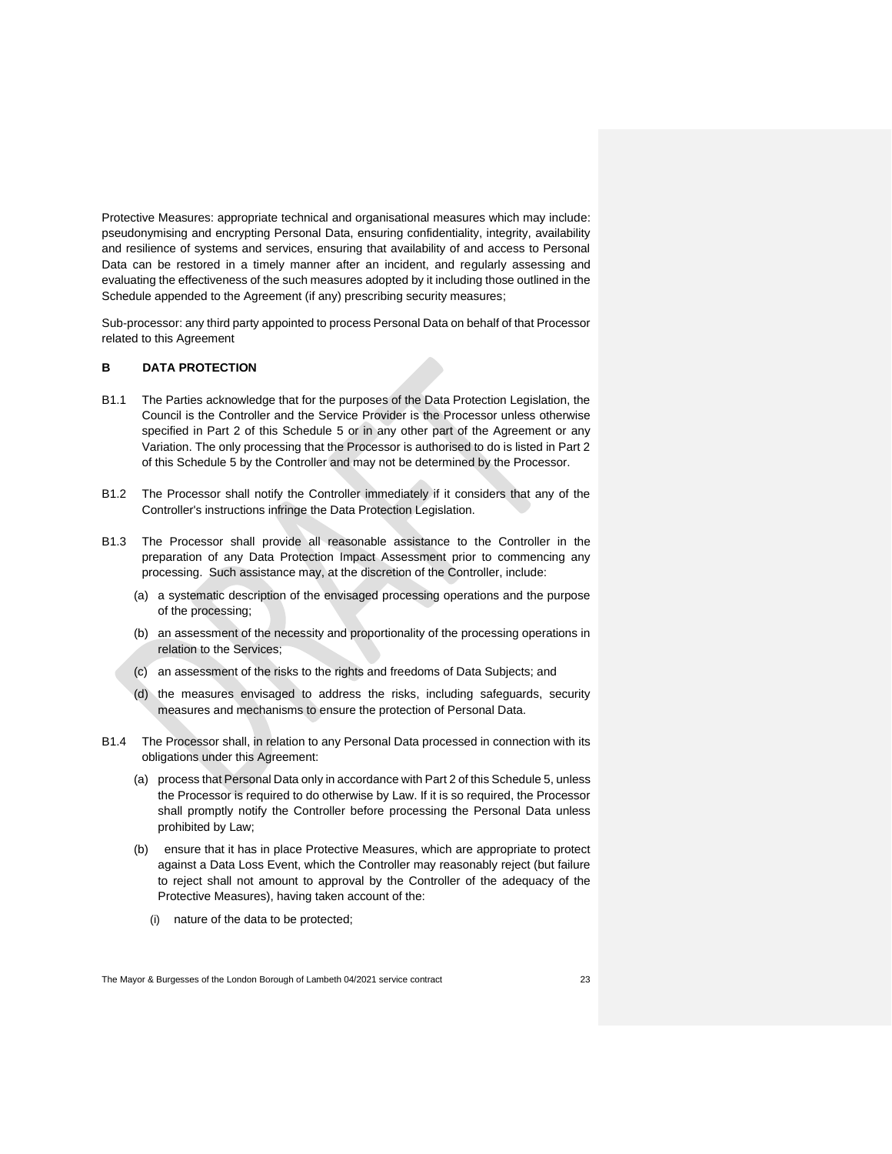Protective Measures: appropriate technical and organisational measures which may include: pseudonymising and encrypting Personal Data, ensuring confidentiality, integrity, availability and resilience of systems and services, ensuring that availability of and access to Personal Data can be restored in a timely manner after an incident, and regularly assessing and evaluating the effectiveness of the such measures adopted by it including those outlined in the Schedule appended to the Agreement (if any) prescribing security measures;

Sub-processor: any third party appointed to process Personal Data on behalf of that Processor related to this Agreement

## **B DATA PROTECTION**

- B1.1 The Parties acknowledge that for the purposes of the Data Protection Legislation, the Council is the Controller and the Service Provider is the Processor unless otherwise specified in Part 2 of this Schedule 5 or in any other part of the Agreement or any Variation. The only processing that the Processor is authorised to do is listed in Part 2 of this Schedule 5 by the Controller and may not be determined by the Processor.
- B1.2 The Processor shall notify the Controller immediately if it considers that any of the Controller's instructions infringe the Data Protection Legislation.
- B1.3 The Processor shall provide all reasonable assistance to the Controller in the preparation of any Data Protection Impact Assessment prior to commencing any processing. Such assistance may, at the discretion of the Controller, include:
	- (a) a systematic description of the envisaged processing operations and the purpose of the processing;
	- (b) an assessment of the necessity and proportionality of the processing operations in relation to the Services;
	- (c) an assessment of the risks to the rights and freedoms of Data Subjects; and
	- (d) the measures envisaged to address the risks, including safeguards, security measures and mechanisms to ensure the protection of Personal Data.
- B1.4 The Processor shall, in relation to any Personal Data processed in connection with its obligations under this Agreement:
	- (a) process that Personal Data only in accordance with Part 2 of this Schedule 5, unless the Processor is required to do otherwise by Law. If it is so required, the Processor shall promptly notify the Controller before processing the Personal Data unless prohibited by Law;
	- (b) ensure that it has in place Protective Measures, which are appropriate to protect against a Data Loss Event, which the Controller may reasonably reject (but failure to reject shall not amount to approval by the Controller of the adequacy of the Protective Measures), having taken account of the:
		- (i) nature of the data to be protected;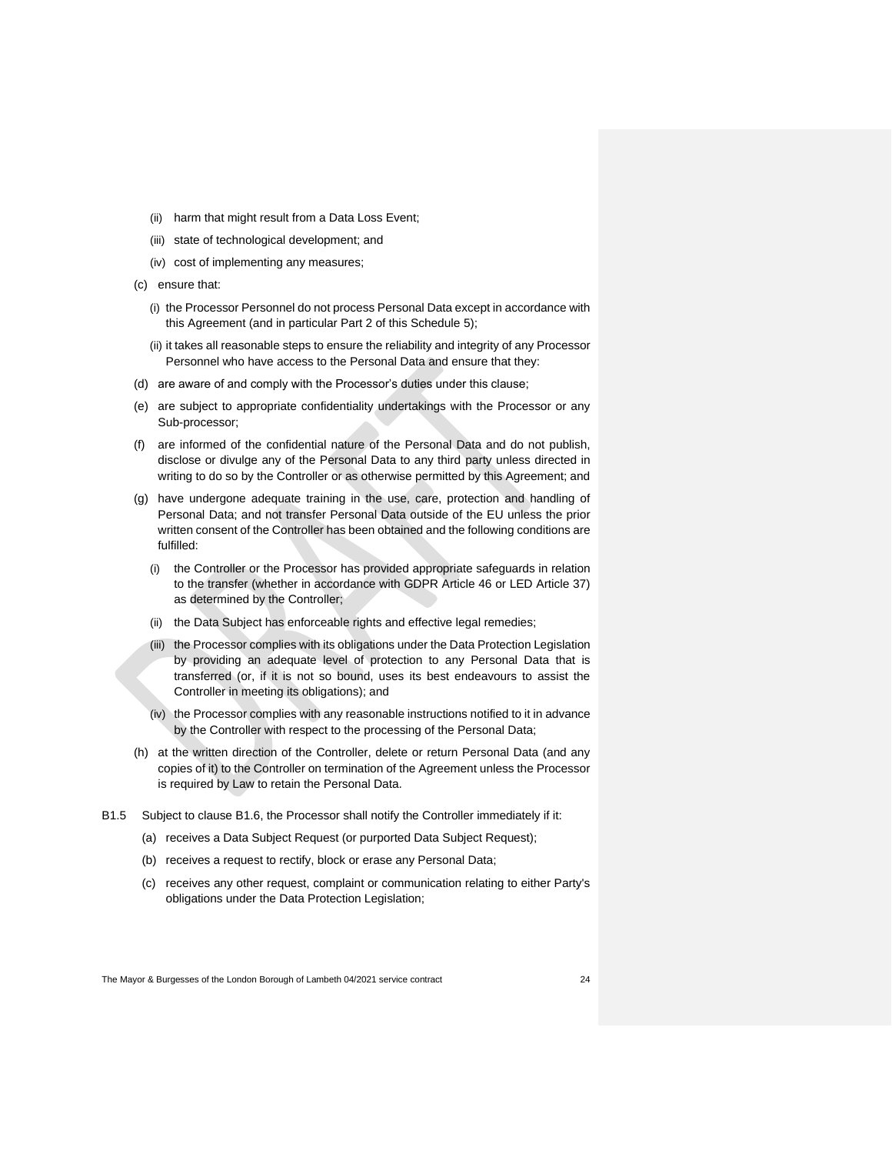- (ii) harm that might result from a Data Loss Event;
- (iii) state of technological development; and
- (iv) cost of implementing any measures;
- (c) ensure that:
	- (i) the Processor Personnel do not process Personal Data except in accordance with this Agreement (and in particular Part 2 of this Schedule 5);
	- (ii) it takes all reasonable steps to ensure the reliability and integrity of any Processor Personnel who have access to the Personal Data and ensure that they:
- (d) are aware of and comply with the Processor's duties under this clause;
- (e) are subject to appropriate confidentiality undertakings with the Processor or any Sub-processor;
- (f) are informed of the confidential nature of the Personal Data and do not publish, disclose or divulge any of the Personal Data to any third party unless directed in writing to do so by the Controller or as otherwise permitted by this Agreement; and
- (g) have undergone adequate training in the use, care, protection and handling of Personal Data; and not transfer Personal Data outside of the EU unless the prior written consent of the Controller has been obtained and the following conditions are fulfilled:
	- (i) the Controller or the Processor has provided appropriate safeguards in relation to the transfer (whether in accordance with GDPR Article 46 or LED Article 37) as determined by the Controller;
	- (ii) the Data Subject has enforceable rights and effective legal remedies;
	- (iii) the Processor complies with its obligations under the Data Protection Legislation by providing an adequate level of protection to any Personal Data that is transferred (or, if it is not so bound, uses its best endeavours to assist the Controller in meeting its obligations); and
	- (iv) the Processor complies with any reasonable instructions notified to it in advance by the Controller with respect to the processing of the Personal Data;
- (h) at the written direction of the Controller, delete or return Personal Data (and any copies of it) to the Controller on termination of the Agreement unless the Processor is required by Law to retain the Personal Data.
- B1.5 Subject to clause B1.6, the Processor shall notify the Controller immediately if it:
	- (a) receives a Data Subject Request (or purported Data Subject Request);
	- (b) receives a request to rectify, block or erase any Personal Data;
	- (c) receives any other request, complaint or communication relating to either Party's obligations under the Data Protection Legislation;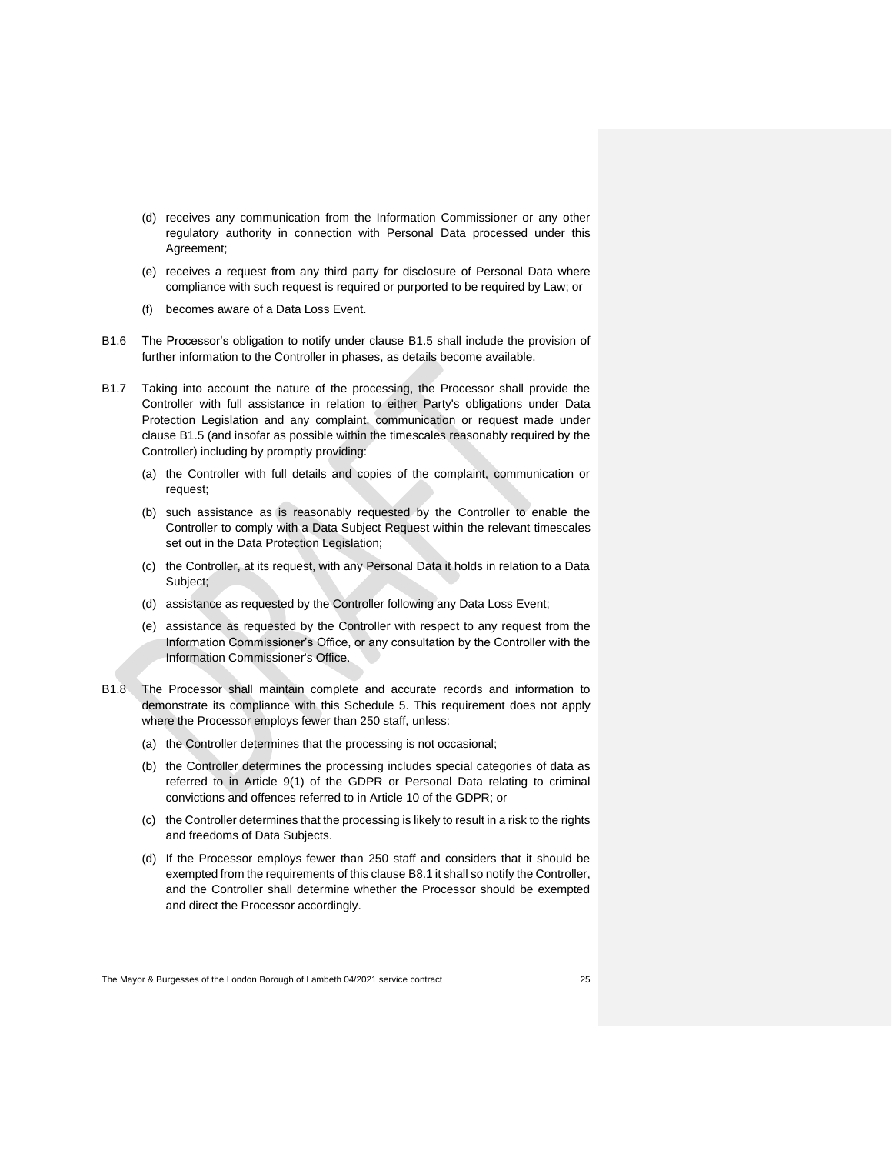- (d) receives any communication from the Information Commissioner or any other regulatory authority in connection with Personal Data processed under this Agreement;
- (e) receives a request from any third party for disclosure of Personal Data where compliance with such request is required or purported to be required by Law; or
- (f) becomes aware of a Data Loss Event.
- B1.6 The Processor's obligation to notify under clause B1.5 shall include the provision of further information to the Controller in phases, as details become available.
- B1.7 Taking into account the nature of the processing, the Processor shall provide the Controller with full assistance in relation to either Party's obligations under Data Protection Legislation and any complaint, communication or request made under clause B1.5 (and insofar as possible within the timescales reasonably required by the Controller) including by promptly providing:
	- (a) the Controller with full details and copies of the complaint, communication or request;
	- (b) such assistance as is reasonably requested by the Controller to enable the Controller to comply with a Data Subject Request within the relevant timescales set out in the Data Protection Legislation;
	- (c) the Controller, at its request, with any Personal Data it holds in relation to a Data Subject;
	- (d) assistance as requested by the Controller following any Data Loss Event;
	- (e) assistance as requested by the Controller with respect to any request from the Information Commissioner's Office, or any consultation by the Controller with the Information Commissioner's Office.
- B1.8 The Processor shall maintain complete and accurate records and information to demonstrate its compliance with this Schedule 5. This requirement does not apply where the Processor employs fewer than 250 staff, unless:
	- (a) the Controller determines that the processing is not occasional;
	- (b) the Controller determines the processing includes special categories of data as referred to in Article 9(1) of the GDPR or Personal Data relating to criminal convictions and offences referred to in Article 10 of the GDPR; or
	- (c) the Controller determines that the processing is likely to result in a risk to the rights and freedoms of Data Subjects.
	- (d) If the Processor employs fewer than 250 staff and considers that it should be exempted from the requirements of this clause B8.1 it shall so notify the Controller, and the Controller shall determine whether the Processor should be exempted and direct the Processor accordingly.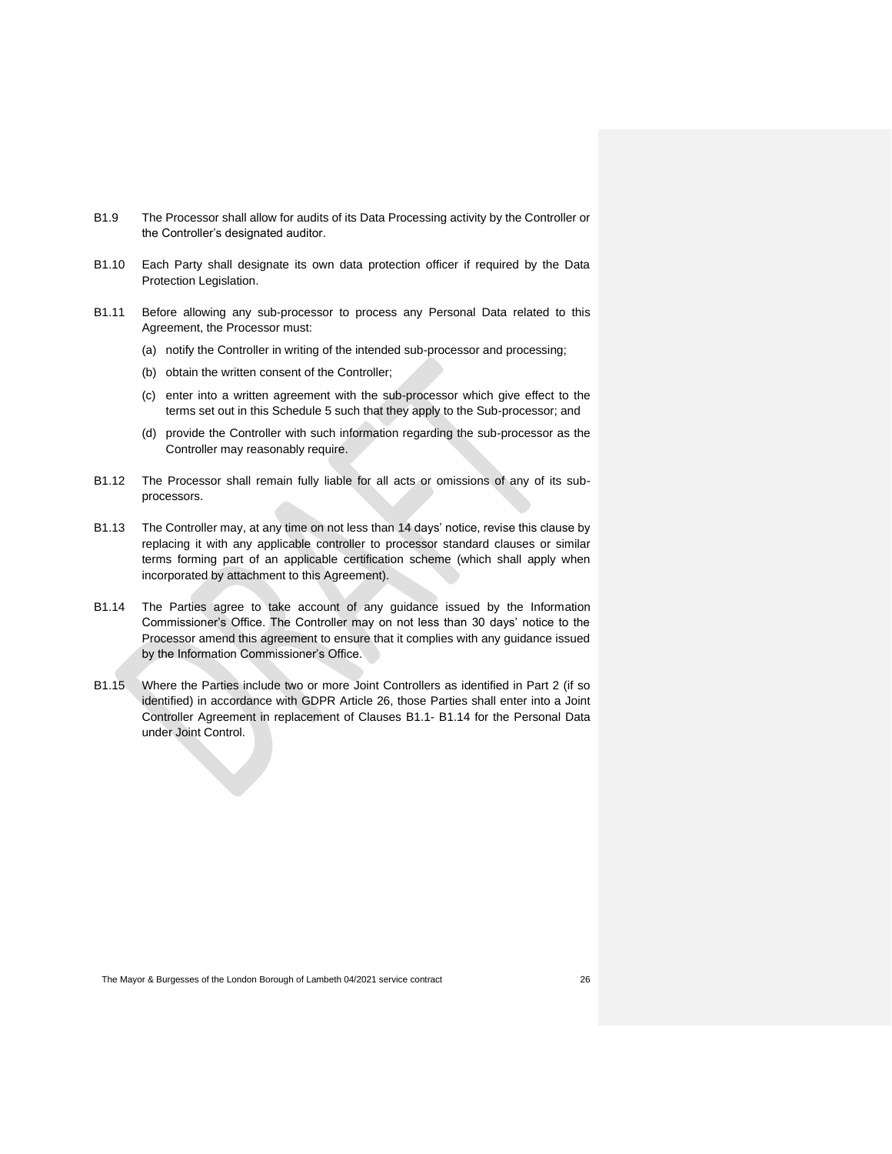- B1.9 The Processor shall allow for audits of its Data Processing activity by the Controller or the Controller's designated auditor.
- B1.10 Each Party shall designate its own data protection officer if required by the Data Protection Legislation.
- B1.11 Before allowing any sub-processor to process any Personal Data related to this Agreement, the Processor must:
	- (a) notify the Controller in writing of the intended sub-processor and processing;
	- (b) obtain the written consent of the Controller;
	- (c) enter into a written agreement with the sub-processor which give effect to the terms set out in this Schedule 5 such that they apply to the Sub-processor; and
	- (d) provide the Controller with such information regarding the sub-processor as the Controller may reasonably require.
- B1.12 The Processor shall remain fully liable for all acts or omissions of any of its subprocessors.
- B1.13 The Controller may, at any time on not less than 14 days' notice, revise this clause by replacing it with any applicable controller to processor standard clauses or similar terms forming part of an applicable certification scheme (which shall apply when incorporated by attachment to this Agreement).
- B1.14 The Parties agree to take account of any guidance issued by the Information Commissioner's Office. The Controller may on not less than 30 days' notice to the Processor amend this agreement to ensure that it complies with any guidance issued by the Information Commissioner's Office.
- B1.15 Where the Parties include two or more Joint Controllers as identified in Part 2 (if so identified) in accordance with GDPR Article 26, those Parties shall enter into a Joint Controller Agreement in replacement of Clauses B1.1- B1.14 for the Personal Data under Joint Control.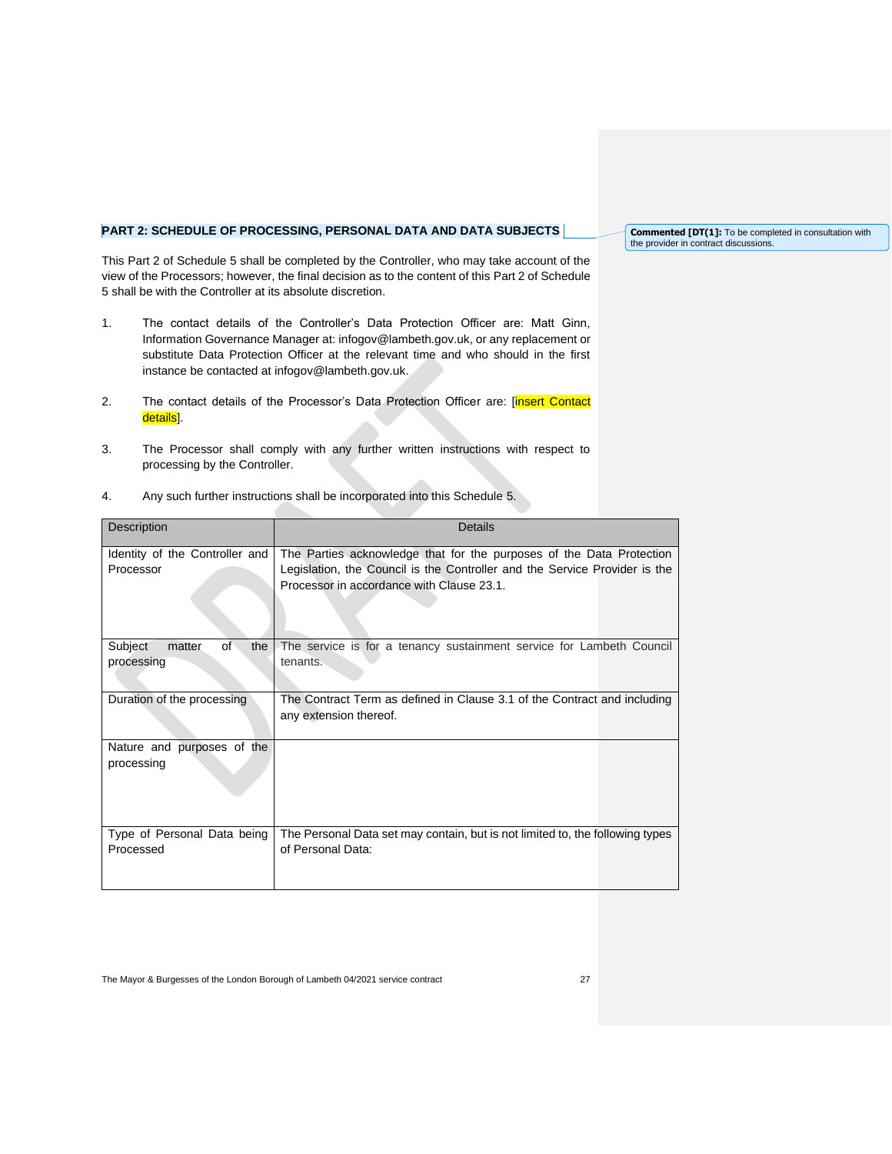# **PART 2: SCHEDULE OF PROCESSING, PERSONAL DATA AND DATA SUBJECTS**

This Part 2 of Schedule 5 shall be completed by the Controller, who may take account of the view of the Processors; however, the final decision as to the content of this Part 2 of Schedule 5 shall be with the Controller at its absolute discretion.

- 1. The contact details of the Controller's Data Protection Officer are: Matt Ginn, Information Governance Manager at: [infogov@lambeth.gov.uk,](mailto:infogov@lambeth.gov.uk) or any replacement or substitute Data Protection Officer at the relevant time and who should in the first instance be contacted at [infogov@lambeth.gov.uk.](mailto:infogov@lambeth.gov.uk)
- 2. The contact details of the Processor's Data Protection Officer are: [insert Contact details].
- 3. The Processor shall comply with any further written instructions with respect to processing by the Controller.

| Description                                  | Details                                                                                                                                                                                         |
|----------------------------------------------|-------------------------------------------------------------------------------------------------------------------------------------------------------------------------------------------------|
| Identity of the Controller and<br>Processor  | The Parties acknowledge that for the purposes of the Data Protection<br>Legislation, the Council is the Controller and the Service Provider is the<br>Processor in accordance with Clause 23.1. |
| Subject<br>of<br>the<br>matter<br>processing | The service is for a tenancy sustainment service for Lambeth Council<br>tenants.                                                                                                                |
| Duration of the processing                   | The Contract Term as defined in Clause 3.1 of the Contract and including<br>any extension thereof.                                                                                              |
| Nature and purposes of the<br>processing     |                                                                                                                                                                                                 |
| Type of Personal Data being<br>Processed     | The Personal Data set may contain, but is not limited to, the following types<br>of Personal Data:                                                                                              |

4. Any such further instructions shall be incorporated into this Schedule 5.

**Commented [DT(1]:** To be completed in consultation with the provider in contract discussions.